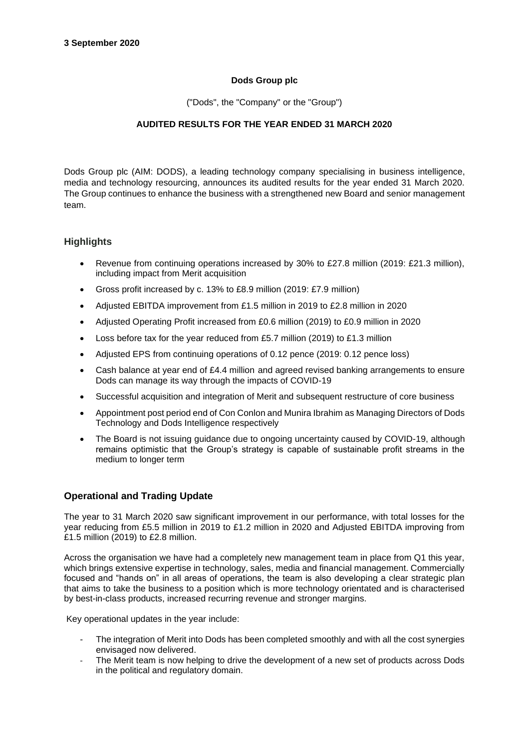## **Dods Group plc**

("Dods", the "Company" or the "Group")

## **AUDITED RESULTS FOR THE YEAR ENDED 31 MARCH 2020**

Dods Group plc (AIM: DODS), a leading technology company specialising in business intelligence, media and technology resourcing, announces its audited results for the year ended 31 March 2020. The Group continues to enhance the business with a strengthened new Board and senior management team.

## **Highlights**

- Revenue from continuing operations increased by 30% to £27.8 million (2019: £21.3 million), including impact from Merit acquisition
- Gross profit increased by c. 13% to £8.9 million (2019: £7.9 million)
- Adjusted EBITDA improvement from £1.5 million in 2019 to £2.8 million in 2020
- Adjusted Operating Profit increased from £0.6 million (2019) to £0.9 million in 2020
- Loss before tax for the year reduced from £5.7 million (2019) to £1.3 million
- Adjusted EPS from continuing operations of 0.12 pence (2019: 0.12 pence loss)
- Cash balance at year end of £4.4 million and agreed revised banking arrangements to ensure Dods can manage its way through the impacts of COVID-19
- Successful acquisition and integration of Merit and subsequent restructure of core business
- Appointment post period end of Con Conlon and Munira Ibrahim as Managing Directors of Dods Technology and Dods Intelligence respectively
- The Board is not issuing guidance due to ongoing uncertainty caused by COVID-19, although remains optimistic that the Group's strategy is capable of sustainable profit streams in the medium to longer term

## **Operational and Trading Update**

The year to 31 March 2020 saw significant improvement in our performance, with total losses for the year reducing from £5.5 million in 2019 to £1.2 million in 2020 and Adjusted EBITDA improving from £1.5 million (2019) to £2.8 million.

Across the organisation we have had a completely new management team in place from Q1 this year, which brings extensive expertise in technology, sales, media and financial management. Commercially focused and "hands on" in all areas of operations, the team is also developing a clear strategic plan that aims to take the business to a position which is more technology orientated and is characterised by best-in-class products, increased recurring revenue and stronger margins.

Key operational updates in the year include:

- The integration of Merit into Dods has been completed smoothly and with all the cost synergies envisaged now delivered.
- The Merit team is now helping to drive the development of a new set of products across Dods in the political and regulatory domain.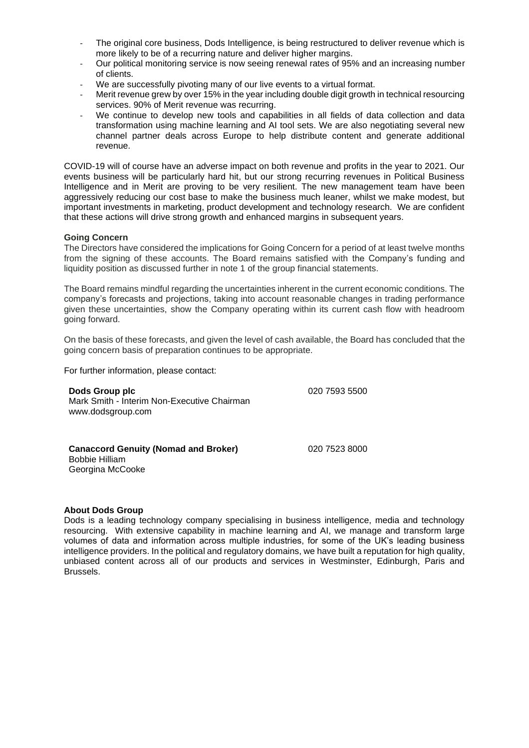- The original core business, Dods Intelligence, is being restructured to deliver revenue which is more likely to be of a recurring nature and deliver higher margins.
- Our political monitoring service is now seeing renewal rates of 95% and an increasing number of clients.
- We are successfully pivoting many of our live events to a virtual format.
- Merit revenue grew by over 15% in the year including double digit growth in technical resourcing services. 90% of Merit revenue was recurring.
- We continue to develop new tools and capabilities in all fields of data collection and data transformation using machine learning and AI tool sets. We are also negotiating several new channel partner deals across Europe to help distribute content and generate additional revenue.

COVID-19 will of course have an adverse impact on both revenue and profits in the year to 2021. Our events business will be particularly hard hit, but our strong recurring revenues in Political Business Intelligence and in Merit are proving to be very resilient. The new management team have been aggressively reducing our cost base to make the business much leaner, whilst we make modest, but important investments in marketing, product development and technology research. We are confident that these actions will drive strong growth and enhanced margins in subsequent years.

### **Going Concern**

The Directors have considered the implications for Going Concern for a period of at least twelve months from the signing of these accounts. The Board remains satisfied with the Company's funding and liquidity position as discussed further in note 1 of the group financial statements.

The Board remains mindful regarding the uncertainties inherent in the current economic conditions. The company's forecasts and projections, taking into account reasonable changes in trading performance given these uncertainties, show the Company operating within its current cash flow with headroom going forward.

On the basis of these forecasts, and given the level of cash available, the Board has concluded that the going concern basis of preparation continues to be appropriate.

For further information, please contact:

**Dods Group plc** Mark Smith - Interim Non-Executive Chairman www.dodsgroup.com

020 7593 5500

**Canaccord Genuity (Nomad and Broker)** Bobbie Hilliam Georgina McCooke

020 7523 8000

### **About Dods Group**

Dods is a leading technology company specialising in business intelligence, media and technology resourcing. With extensive capability in machine learning and AI, we manage and transform large volumes of data and information across multiple industries, for some of the UK's leading business intelligence providers. In the political and regulatory domains, we have built a reputation for high quality, unbiased content across all of our products and services in Westminster, Edinburgh, Paris and Brussels.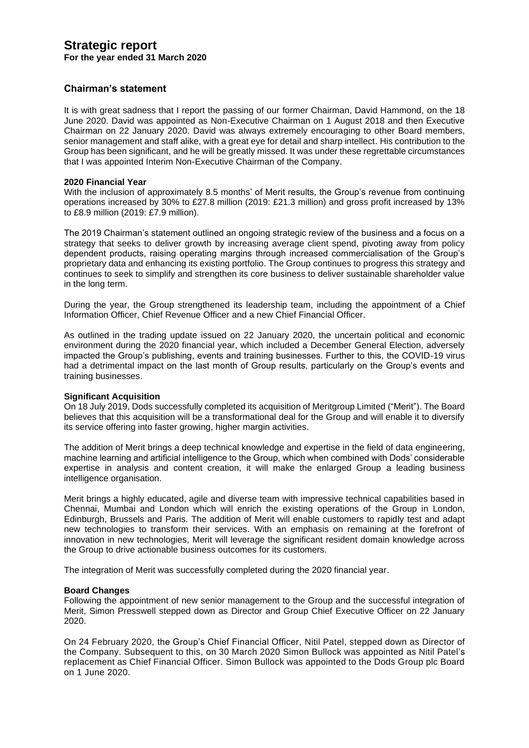## **Strategic report**

**For the year ended 31 March 2020**

### **Chairman's statement**

It is with great sadness that I report the passing of our former Chairman, David Hammond, on the 18 June 2020. David was appointed as Non-Executive Chairman on 1 August 2018 and then Executive Chairman on 22 January 2020. David was always extremely encouraging to other Board members, senior management and staff alike, with a great eye for detail and sharp intellect. His contribution to the Group has been significant, and he will be greatly missed. It was under these regrettable circumstances that I was appointed Interim Non-Executive Chairman of the Company.

### **2020 Financial Year**

With the inclusion of approximately 8.5 months' of Merit results, the Group's revenue from continuing operations increased by 30% to £27.8 million (2019: £21.3 million) and gross profit increased by 13% to £8.9 million (2019: £7.9 million).

The 2019 Chairman's statement outlined an ongoing strategic review of the business and a focus on a strategy that seeks to deliver growth by increasing average client spend, pivoting away from policy dependent products, raising operating margins through increased commercialisation of the Group's proprietary data and enhancing its existing portfolio. The Group continues to progress this strategy and continues to seek to simplify and strengthen its core business to deliver sustainable shareholder value in the long term.

During the year, the Group strengthened its leadership team, including the appointment of a Chief Information Officer, Chief Revenue Officer and a new Chief Financial Officer.

As outlined in the trading update issued on 22 January 2020, the uncertain political and economic environment during the 2020 financial year, which included a December General Election, adversely impacted the Group's publishing, events and training businesses. Further to this, the COVID-19 virus had a detrimental impact on the last month of Group results, particularly on the Group's events and training businesses.

### **Significant Acquisition**

On 18 July 2019, Dods successfully completed its acquisition of Meritgroup Limited ("Merit"). The Board believes that this acquisition will be a transformational deal for the Group and will enable it to diversify its service offering into faster growing, higher margin activities.

The addition of Merit brings a deep technical knowledge and expertise in the field of data engineering, machine learning and artificial intelligence to the Group, which when combined with Dods' considerable expertise in analysis and content creation, it will make the enlarged Group a leading business intelligence organisation.

Merit brings a highly educated, agile and diverse team with impressive technical capabilities based in Chennai, Mumbai and London which will enrich the existing operations of the Group in London, Edinburgh, Brussels and Paris. The addition of Merit will enable customers to rapidly test and adapt new technologies to transform their services. With an emphasis on remaining at the forefront of innovation in new technologies, Merit will leverage the significant resident domain knowledge across the Group to drive actionable business outcomes for its customers.

The integration of Merit was successfully completed during the 2020 financial year.

### **Board Changes**

Following the appointment of new senior management to the Group and the successful integration of Merit, Simon Presswell stepped down as Director and Group Chief Executive Officer on 22 January 2020.

On 24 February 2020, the Group's Chief Financial Officer, Nitil Patel, stepped down as Director of the Company. Subsequent to this, on 30 March 2020 Simon Bullock was appointed as Nitil Patel's replacement as Chief Financial Officer. Simon Bullock was appointed to the Dods Group plc Board on 1 June 2020.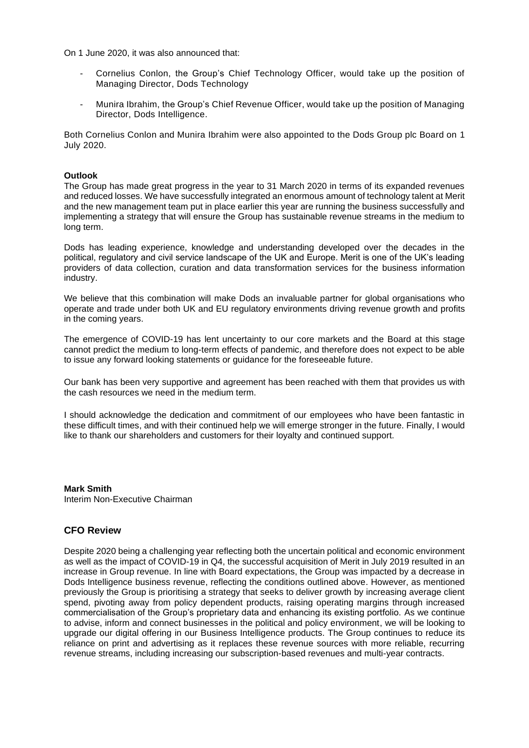On 1 June 2020, it was also announced that:

- Cornelius Conlon, the Group's Chief Technology Officer, would take up the position of Managing Director, Dods Technology
- Munira Ibrahim, the Group's Chief Revenue Officer, would take up the position of Managing Director, Dods Intelligence.

Both Cornelius Conlon and Munira Ibrahim were also appointed to the Dods Group plc Board on 1 July 2020.

### **Outlook**

The Group has made great progress in the year to 31 March 2020 in terms of its expanded revenues and reduced losses. We have successfully integrated an enormous amount of technology talent at Merit and the new management team put in place earlier this year are running the business successfully and implementing a strategy that will ensure the Group has sustainable revenue streams in the medium to long term.

Dods has leading experience, knowledge and understanding developed over the decades in the political, regulatory and civil service landscape of the UK and Europe. Merit is one of the UK's leading providers of data collection, curation and data transformation services for the business information industry.

We believe that this combination will make Dods an invaluable partner for global organisations who operate and trade under both UK and EU regulatory environments driving revenue growth and profits in the coming years.

The emergence of COVID-19 has lent uncertainty to our core markets and the Board at this stage cannot predict the medium to long-term effects of pandemic, and therefore does not expect to be able to issue any forward looking statements or guidance for the foreseeable future.

Our bank has been very supportive and agreement has been reached with them that provides us with the cash resources we need in the medium term.

I should acknowledge the dedication and commitment of our employees who have been fantastic in these difficult times, and with their continued help we will emerge stronger in the future. Finally, I would like to thank our shareholders and customers for their loyalty and continued support.

**Mark Smith** Interim Non-Executive Chairman

### **CFO Review**

Despite 2020 being a challenging year reflecting both the uncertain political and economic environment as well as the impact of COVID-19 in Q4, the successful acquisition of Merit in July 2019 resulted in an increase in Group revenue. In line with Board expectations, the Group was impacted by a decrease in Dods Intelligence business revenue, reflecting the conditions outlined above. However, as mentioned previously the Group is prioritising a strategy that seeks to deliver growth by increasing average client spend, pivoting away from policy dependent products, raising operating margins through increased commercialisation of the Group's proprietary data and enhancing its existing portfolio. As we continue to advise, inform and connect businesses in the political and policy environment, we will be looking to upgrade our digital offering in our Business Intelligence products. The Group continues to reduce its reliance on print and advertising as it replaces these revenue sources with more reliable, recurring revenue streams, including increasing our subscription-based revenues and multi-year contracts.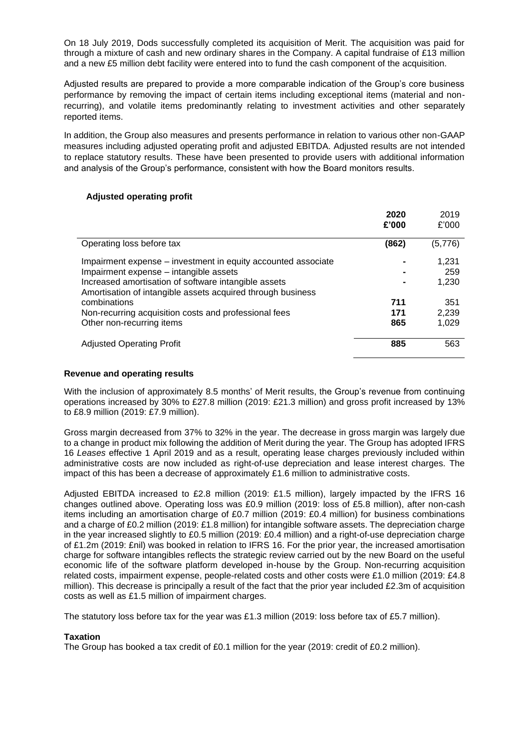On 18 July 2019, Dods successfully completed its acquisition of Merit. The acquisition was paid for through a mixture of cash and new ordinary shares in the Company. A capital fundraise of £13 million and a new £5 million debt facility were entered into to fund the cash component of the acquisition.

Adjusted results are prepared to provide a more comparable indication of the Group's core business performance by removing the impact of certain items including exceptional items (material and nonrecurring), and volatile items predominantly relating to investment activities and other separately reported items.

In addition, the Group also measures and presents performance in relation to various other non-GAAP measures including adjusted operating profit and adjusted EBITDA. Adjusted results are not intended to replace statutory results. These have been presented to provide users with additional information and analysis of the Group's performance, consistent with how the Board monitors results.

### **Adjusted operating profit**

|                                                                                                                     | 2020<br>£'000 | 2019<br>£'000 |
|---------------------------------------------------------------------------------------------------------------------|---------------|---------------|
| Operating loss before tax                                                                                           | (862)         | (5,776)       |
| Impairment expense – investment in equity accounted associate                                                       |               | 1,231         |
| Impairment expense – intangible assets                                                                              |               | 259           |
| Increased amortisation of software intangible assets<br>Amortisation of intangible assets acquired through business |               | 1,230         |
| combinations                                                                                                        | 711           | 351           |
| Non-recurring acquisition costs and professional fees                                                               | 171           | 2,239         |
| Other non-recurring items                                                                                           | 865           | 1.029         |
| <b>Adjusted Operating Profit</b>                                                                                    | 885           | 563           |

### **Revenue and operating results**

With the inclusion of approximately 8.5 months' of Merit results, the Group's revenue from continuing operations increased by 30% to £27.8 million (2019: £21.3 million) and gross profit increased by 13% to £8.9 million (2019: £7.9 million).

Gross margin decreased from 37% to 32% in the year. The decrease in gross margin was largely due to a change in product mix following the addition of Merit during the year. The Group has adopted IFRS 16 *Leases* effective 1 April 2019 and as a result, operating lease charges previously included within administrative costs are now included as right-of-use depreciation and lease interest charges. The impact of this has been a decrease of approximately £1.6 million to administrative costs.

Adjusted EBITDA increased to £2.8 million (2019: £1.5 million), largely impacted by the IFRS 16 changes outlined above. Operating loss was £0.9 million (2019: loss of £5.8 million), after non-cash items including an amortisation charge of £0.7 million (2019: £0.4 million) for business combinations and a charge of £0.2 million (2019: £1.8 million) for intangible software assets. The depreciation charge in the year increased slightly to £0.5 million (2019: £0.4 million) and a right-of-use depreciation charge of £1.2m (2019: £nil) was booked in relation to IFRS 16. For the prior year, the increased amortisation charge for software intangibles reflects the strategic review carried out by the new Board on the useful economic life of the software platform developed in-house by the Group. Non-recurring acquisition related costs, impairment expense, people-related costs and other costs were £1.0 million (2019: £4.8 million). This decrease is principally a result of the fact that the prior year included £2.3m of acquisition costs as well as £1.5 million of impairment charges.

The statutory loss before tax for the year was £1.3 million (2019: loss before tax of £5.7 million).

### **Taxation**

The Group has booked a tax credit of £0.1 million for the year (2019: credit of £0.2 million).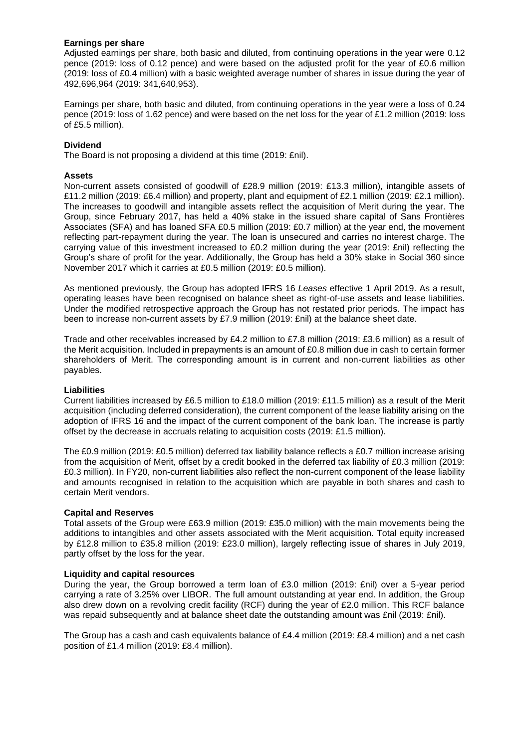### **Earnings per share**

Adjusted earnings per share, both basic and diluted, from continuing operations in the year were 0.12 pence (2019: loss of 0.12 pence) and were based on the adjusted profit for the year of £0.6 million (2019: loss of £0.4 million) with a basic weighted average number of shares in issue during the year of 492,696,964 (2019: 341,640,953).

Earnings per share, both basic and diluted, from continuing operations in the year were a loss of 0.24 pence (2019: loss of 1.62 pence) and were based on the net loss for the year of £1.2 million (2019: loss of £5.5 million).

### **Dividend**

The Board is not proposing a dividend at this time (2019: £nil).

### **Assets**

Non-current assets consisted of goodwill of £28.9 million (2019: £13.3 million), intangible assets of £11.2 million (2019: £6.4 million) and property, plant and equipment of £2.1 million (2019: £2.1 million). The increases to goodwill and intangible assets reflect the acquisition of Merit during the year. The Group, since February 2017, has held a 40% stake in the issued share capital of Sans Frontières Associates (SFA) and has loaned SFA £0.5 million (2019: £0.7 million) at the year end, the movement reflecting part-repayment during the year. The loan is unsecured and carries no interest charge. The carrying value of this investment increased to £0.2 million during the year (2019: £nil) reflecting the Group's share of profit for the year. Additionally, the Group has held a 30% stake in Social 360 since November 2017 which it carries at £0.5 million (2019: £0.5 million).

As mentioned previously, the Group has adopted IFRS 16 *Leases* effective 1 April 2019. As a result, operating leases have been recognised on balance sheet as right-of-use assets and lease liabilities. Under the modified retrospective approach the Group has not restated prior periods. The impact has been to increase non-current assets by £7.9 million (2019: £nil) at the balance sheet date.

Trade and other receivables increased by £4.2 million to £7.8 million (2019: £3.6 million) as a result of the Merit acquisition. Included in prepayments is an amount of £0.8 million due in cash to certain former shareholders of Merit. The corresponding amount is in current and non-current liabilities as other payables.

### **Liabilities**

Current liabilities increased by £6.5 million to £18.0 million (2019: £11.5 million) as a result of the Merit acquisition (including deferred consideration), the current component of the lease liability arising on the adoption of IFRS 16 and the impact of the current component of the bank loan. The increase is partly offset by the decrease in accruals relating to acquisition costs (2019: £1.5 million).

The £0.9 million (2019: £0.5 million) deferred tax liability balance reflects a £0.7 million increase arising from the acquisition of Merit, offset by a credit booked in the deferred tax liability of £0.3 million (2019: £0.3 million). In FY20, non-current liabilities also reflect the non-current component of the lease liability and amounts recognised in relation to the acquisition which are payable in both shares and cash to certain Merit vendors.

### **Capital and Reserves**

Total assets of the Group were £63.9 million (2019: £35.0 million) with the main movements being the additions to intangibles and other assets associated with the Merit acquisition. Total equity increased by £12.8 million to £35.8 million (2019: £23.0 million), largely reflecting issue of shares in July 2019, partly offset by the loss for the year.

### **Liquidity and capital resources**

During the year, the Group borrowed a term loan of £3.0 million (2019: £nil) over a 5-year period carrying a rate of 3.25% over LIBOR. The full amount outstanding at year end. In addition, the Group also drew down on a revolving credit facility (RCF) during the year of £2.0 million. This RCF balance was repaid subsequently and at balance sheet date the outstanding amount was £nil (2019: £nil).

The Group has a cash and cash equivalents balance of £4.4 million (2019: £8.4 million) and a net cash position of £1.4 million (2019: £8.4 million).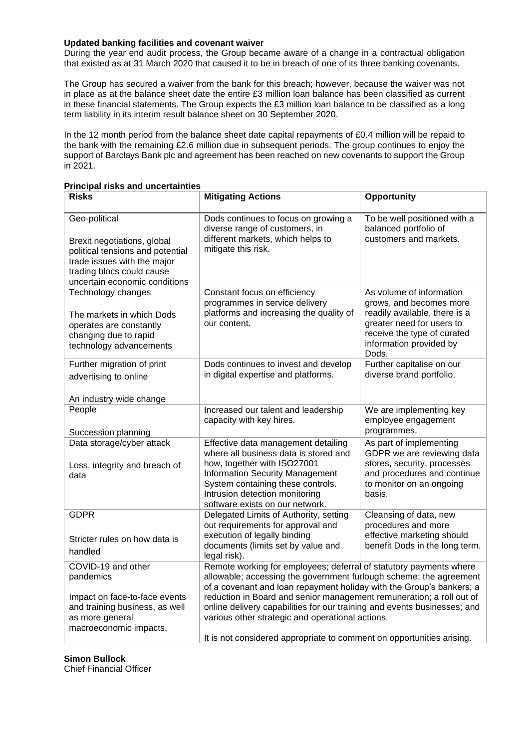### **Updated banking facilities and covenant waiver**

During the year end audit process, the Group became aware of a change in a contractual obligation that existed as at 31 March 2020 that caused it to be in breach of one of its three banking covenants.

The Group has secured a waiver from the bank for this breach; however, because the waiver was not in place as at the balance sheet date the entire £3 million loan balance has been classified as current in these financial statements. The Group expects the £3 million loan balance to be classified as a long term liability in its interim result balance sheet on 30 September 2020.

In the 12 month period from the balance sheet date capital repayments of £0.4 million will be repaid to the bank with the remaining £2.6 million due in subsequent periods. The group continues to enjoy the support of Barclays Bank plc and agreement has been reached on new covenants to support the Group in 2021.

| <b>Risks</b>                                                                                                                                                                  | <b>Mitigating Actions</b>                                                                                                                                                                                                                                                                                                                                                                                                | Opportunity                                                                                                                                                                          |
|-------------------------------------------------------------------------------------------------------------------------------------------------------------------------------|--------------------------------------------------------------------------------------------------------------------------------------------------------------------------------------------------------------------------------------------------------------------------------------------------------------------------------------------------------------------------------------------------------------------------|--------------------------------------------------------------------------------------------------------------------------------------------------------------------------------------|
| Geo-political<br>Brexit negotiations, global<br>political tensions and potential<br>trade issues with the major<br>trading blocs could cause<br>uncertain economic conditions | Dods continues to focus on growing a<br>diverse range of customers, in<br>different markets, which helps to<br>mitigate this risk.                                                                                                                                                                                                                                                                                       | To be well positioned with a<br>balanced portfolio of<br>customers and markets.                                                                                                      |
| Technology changes<br>The markets in which Dods<br>operates are constantly<br>changing due to rapid<br>technology advancements                                                | Constant focus on efficiency<br>programmes in service delivery<br>platforms and increasing the quality of<br>our content.                                                                                                                                                                                                                                                                                                | As volume of information<br>grows, and becomes more<br>readily available, there is a<br>greater need for users to<br>receive the type of curated<br>information provided by<br>Dods. |
| Further migration of print<br>advertising to online<br>An industry wide change                                                                                                | Dods continues to invest and develop<br>in digital expertise and platforms.                                                                                                                                                                                                                                                                                                                                              | Further capitalise on our<br>diverse brand portfolio.                                                                                                                                |
| People<br>Succession planning                                                                                                                                                 | Increased our talent and leadership<br>capacity with key hires.                                                                                                                                                                                                                                                                                                                                                          | We are implementing key<br>employee engagement<br>programmes.                                                                                                                        |
| Data storage/cyber attack<br>Loss, integrity and breach of<br>data                                                                                                            | Effective data management detailing<br>where all business data is stored and<br>how, together with ISO27001<br><b>Information Security Management</b><br>System containing these controls.<br>Intrusion detection monitoring<br>software exists on our network.                                                                                                                                                          | As part of implementing<br>GDPR we are reviewing data<br>stores, security, processes<br>and procedures and continue<br>to monitor on an ongoing<br>basis.                            |
| <b>GDPR</b><br>Stricter rules on how data is<br>handled                                                                                                                       | Delegated Limits of Authority, setting<br>out requirements for approval and<br>execution of legally binding<br>documents (limits set by value and<br>legal risk).                                                                                                                                                                                                                                                        | Cleansing of data, new<br>procedures and more<br>effective marketing should<br>benefit Dods in the long term.                                                                        |
| COVID-19 and other<br>pandemics<br>Impact on face-to-face events<br>and training business, as well<br>as more general<br>macroeconomic impacts.                               | Remote working for employees; deferral of statutory payments where<br>allowable; accessing the government furlough scheme; the agreement<br>of a covenant and loan repayment holiday with the Group's bankers; a<br>reduction in Board and senior management remuneration; a roll out of<br>online delivery capabilities for our training and events businesses; and<br>various other strategic and operational actions. |                                                                                                                                                                                      |
|                                                                                                                                                                               | It is not considered appropriate to comment on opportunities arising.                                                                                                                                                                                                                                                                                                                                                    |                                                                                                                                                                                      |

### **Principal risks and uncertainties**

**Simon Bullock** Chief Financial Officer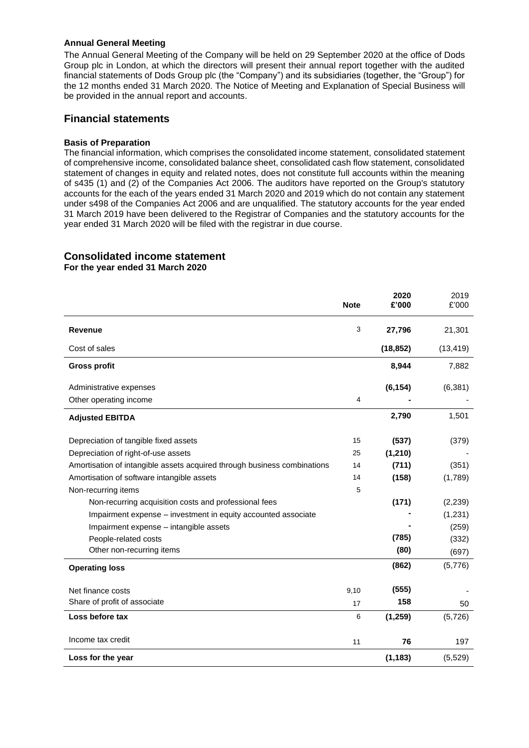### **Annual General Meeting**

The Annual General Meeting of the Company will be held on 29 September 2020 at the office of Dods Group plc in London, at which the directors will present their annual report together with the audited financial statements of Dods Group plc (the "Company") and its subsidiaries (together, the "Group") for the 12 months ended 31 March 2020. The Notice of Meeting and Explanation of Special Business will be provided in the annual report and accounts.

## **Financial statements**

### **Basis of Preparation**

The financial information, which comprises the consolidated income statement, consolidated statement of comprehensive income, consolidated balance sheet, consolidated cash flow statement, consolidated statement of changes in equity and related notes, does not constitute full accounts within the meaning of s435 (1) and (2) of the Companies Act 2006. The auditors have reported on the Group's statutory accounts for the each of the years ended 31 March 2020 and 2019 which do not contain any statement under s498 of the Companies Act 2006 and are unqualified. The statutory accounts for the year ended 31 March 2019 have been delivered to the Registrar of Companies and the statutory accounts for the year ended 31 March 2020 will be filed with the registrar in due course.

## **Consolidated income statement**

**For the year ended 31 March 2020**

|                                                                          | <b>Note</b> | 2020<br>£'000 | 2019<br>£'000 |
|--------------------------------------------------------------------------|-------------|---------------|---------------|
| <b>Revenue</b>                                                           | 3           | 27,796        | 21,301        |
| Cost of sales                                                            |             | (18, 852)     | (13, 419)     |
| <b>Gross profit</b>                                                      |             | 8,944         | 7,882         |
| Administrative expenses                                                  |             | (6, 154)      | (6, 381)      |
| Other operating income                                                   | 4           |               |               |
| <b>Adjusted EBITDA</b>                                                   |             | 2,790         | 1,501         |
| Depreciation of tangible fixed assets                                    | 15          | (537)         | (379)         |
| Depreciation of right-of-use assets                                      | 25          | (1, 210)      |               |
| Amortisation of intangible assets acquired through business combinations | 14          | (711)         | (351)         |
| Amortisation of software intangible assets                               | 14          | (158)         | (1,789)       |
| Non-recurring items                                                      | 5           |               |               |
| Non-recurring acquisition costs and professional fees                    |             | (171)         | (2, 239)      |
| Impairment expense - investment in equity accounted associate            |             |               | (1,231)       |
| Impairment expense - intangible assets                                   |             |               | (259)         |
| People-related costs                                                     |             | (785)         | (332)         |
| Other non-recurring items                                                |             | (80)          | (697)         |
| <b>Operating loss</b>                                                    |             | (862)         | (5,776)       |
| Net finance costs                                                        | 9,10        | (555)         |               |
| Share of profit of associate                                             | 17          | 158           | 50            |
| Loss before tax                                                          | 6           | (1,259)       | (5,726)       |
| Income tax credit                                                        | 11          | 76            | 197           |
| Loss for the year                                                        |             | (1, 183)      | (5, 529)      |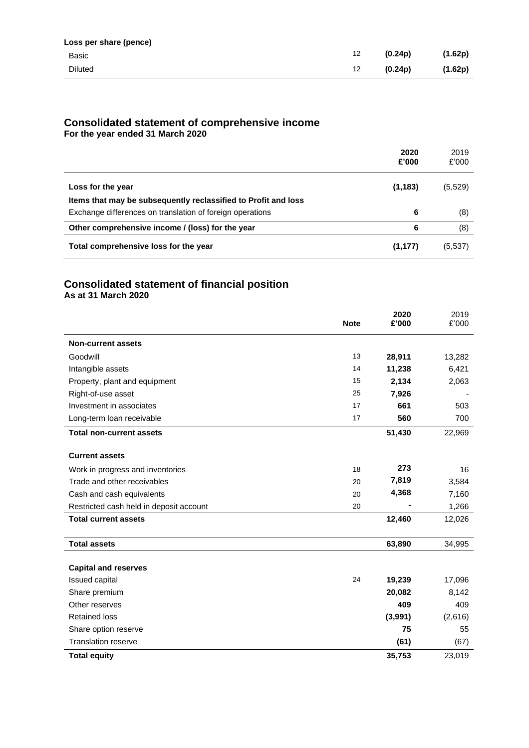| Loss per share (pence) |    |         |         |
|------------------------|----|---------|---------|
| Basic                  | 12 | (0.24p) | (1.62p) |
| <b>Diluted</b>         | 12 | (0.24p) | (1.62p) |

# **Consolidated statement of comprehensive income**

**For the year ended 31 March 2020**

|                                                                                     | 2020<br>£'000 | 2019<br>£'000 |
|-------------------------------------------------------------------------------------|---------------|---------------|
| Loss for the year<br>Items that may be subsequently reclassified to Profit and loss | (1, 183)      | (5, 529)      |
| Exchange differences on translation of foreign operations                           | 6             | (8)           |
| Other comprehensive income / (loss) for the year                                    | 6             | (8)           |
| Total comprehensive loss for the year                                               | (1, 177)      | (5,537)       |

# **Consolidated statement of financial position**

**As at 31 March 2020**

|                                         | <b>Note</b> | 2020<br>£'000 | 2019<br>£'000 |
|-----------------------------------------|-------------|---------------|---------------|
| <b>Non-current assets</b>               |             |               |               |
| Goodwill                                | 13          | 28,911        | 13,282        |
| Intangible assets                       | 14          | 11,238        | 6,421         |
| Property, plant and equipment           | 15          | 2,134         | 2,063         |
| Right-of-use asset                      | 25          | 7,926         |               |
| Investment in associates                | 17          | 661           | 503           |
| Long-term loan receivable               | 17          | 560           | 700           |
| <b>Total non-current assets</b>         |             | 51,430        | 22,969        |
|                                         |             |               |               |
| <b>Current assets</b>                   |             |               |               |
| Work in progress and inventories        | 18          | 273           | 16            |
| Trade and other receivables             | 20          | 7,819         | 3,584         |
| Cash and cash equivalents               | 20          | 4,368         | 7,160         |
| Restricted cash held in deposit account | 20          |               | 1,266         |
| <b>Total current assets</b>             |             | 12,460        | 12,026        |
|                                         |             |               |               |
| <b>Total assets</b>                     |             | 63,890        | 34,995        |
| <b>Capital and reserves</b>             |             |               |               |
| Issued capital                          | 24          | 19,239        | 17,096        |
| Share premium                           |             | 20,082        | 8,142         |
| Other reserves                          |             | 409           | 409           |
| <b>Retained loss</b>                    |             | (3,991)       | (2,616)       |
| Share option reserve                    |             | 75            | 55            |
| <b>Translation reserve</b>              |             | (61)          | (67)          |
| <b>Total equity</b>                     |             | 35,753        | 23,019        |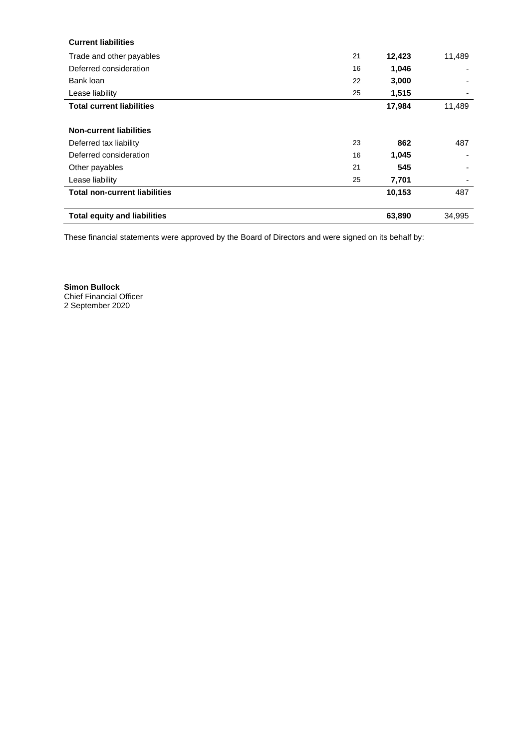| <b>Current liabilities</b>           |    |        |        |
|--------------------------------------|----|--------|--------|
| Trade and other payables             | 21 | 12,423 | 11,489 |
| Deferred consideration               | 16 | 1,046  | ۰      |
| Bank loan                            | 22 | 3,000  | ۰      |
| Lease liability                      | 25 | 1,515  |        |
| <b>Total current liabilities</b>     |    | 17,984 | 11,489 |
|                                      |    |        |        |
| <b>Non-current liabilities</b>       |    |        |        |
| Deferred tax liability               | 23 | 862    | 487    |
| Deferred consideration               | 16 | 1,045  | -      |
| Other payables                       | 21 | 545    | -      |
| Lease liability                      | 25 | 7,701  | ۰      |
| <b>Total non-current liabilities</b> |    | 10,153 | 487    |
| <b>Total equity and liabilities</b>  |    | 63,890 | 34,995 |

These financial statements were approved by the Board of Directors and were signed on its behalf by:

**Simon Bullock** Chief Financial Officer 2 September 2020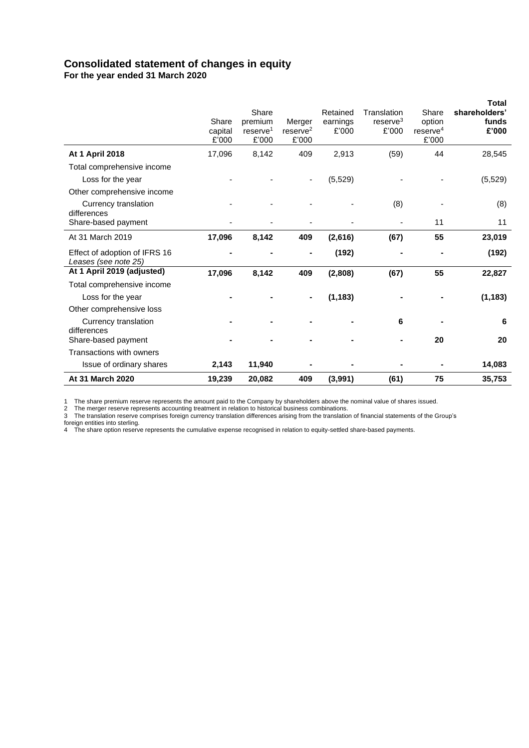## **Consolidated statement of changes in equity For the year ended 31 March 2020**

|                                                       | Share<br>capital<br>£'000 | Share<br>premium<br>reserve <sup>1</sup><br>£'000 | Merger<br>reserve <sup>2</sup><br>£'000 | Retained<br>earnings<br>£'000 | Translation<br>reserve <sup>3</sup><br>£'000 | Share<br>option<br>$r$ eserve $4$<br>£'000 | <b>Total</b><br>shareholders'<br>funds<br>£'000 |
|-------------------------------------------------------|---------------------------|---------------------------------------------------|-----------------------------------------|-------------------------------|----------------------------------------------|--------------------------------------------|-------------------------------------------------|
| At 1 April 2018                                       | 17,096                    | 8,142                                             | 409                                     | 2,913                         | (59)                                         | 44                                         | 28,545                                          |
| Total comprehensive income                            |                           |                                                   |                                         |                               |                                              |                                            |                                                 |
| Loss for the year                                     |                           |                                                   |                                         | (5, 529)                      |                                              |                                            | (5, 529)                                        |
| Other comprehensive income                            |                           |                                                   |                                         |                               |                                              |                                            |                                                 |
| Currency translation                                  |                           |                                                   |                                         |                               | (8)                                          |                                            | (8)                                             |
| differences<br>Share-based payment                    |                           |                                                   |                                         |                               |                                              | 11                                         | 11                                              |
| At 31 March 2019                                      | 17,096                    | 8,142                                             | 409                                     | (2,616)                       | (67)                                         | 55                                         | 23,019                                          |
| Effect of adoption of IFRS 16<br>Leases (see note 25) |                           |                                                   |                                         | (192)                         |                                              |                                            | (192)                                           |
| At 1 April 2019 (adjusted)                            | 17,096                    | 8,142                                             | 409                                     | (2,808)                       | (67)                                         | 55                                         | 22,827                                          |
| Total comprehensive income                            |                           |                                                   |                                         |                               |                                              |                                            |                                                 |
| Loss for the year                                     |                           |                                                   | $\blacksquare$                          | (1, 183)                      |                                              |                                            | (1, 183)                                        |
| Other comprehensive loss                              |                           |                                                   |                                         |                               |                                              |                                            |                                                 |
| Currency translation                                  |                           |                                                   |                                         |                               | 6                                            |                                            | 6                                               |
| differences<br>Share-based payment                    |                           |                                                   |                                         |                               |                                              | 20                                         | 20                                              |
| Transactions with owners                              |                           |                                                   |                                         |                               |                                              |                                            |                                                 |
| Issue of ordinary shares                              | 2,143                     | 11,940                                            |                                         |                               |                                              |                                            | 14,083                                          |
| At 31 March 2020                                      | 19,239                    | 20,082                                            | 409                                     | (3,991)                       | (61)                                         | 75                                         | 35,753                                          |

1 The share premium reserve represents the amount paid to the Company by shareholders above the nominal value of shares issued.

2 The merger reserve represents accounting treatment in relation to historical business combinations.

3 The translation reserve comprises foreign currency translation differences arising from the translation of financial statements of the Group's

foreign entities into sterling. 4 The share option reserve represents the cumulative expense recognised in relation to equity-settled share-based payments.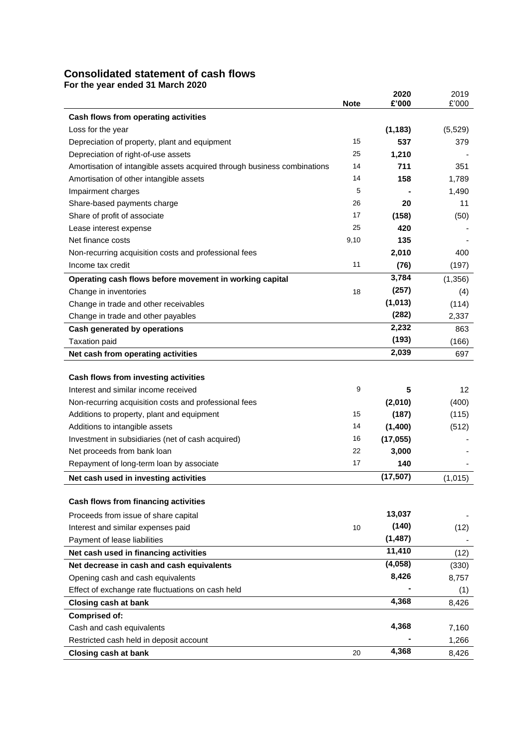## **Consolidated statement of cash flows**

**For the year ended 31 March 2020**

|                                                                          | <b>Note</b> | 2020<br>£'000 | 2019<br>£'000 |
|--------------------------------------------------------------------------|-------------|---------------|---------------|
| Cash flows from operating activities                                     |             |               |               |
| Loss for the year                                                        |             | (1, 183)      | (5,529)       |
| Depreciation of property, plant and equipment                            | 15          | 537           | 379           |
| Depreciation of right-of-use assets                                      | 25          | 1,210         |               |
| Amortisation of intangible assets acquired through business combinations | 14          | 711           | 351           |
| Amortisation of other intangible assets                                  | 14          | 158           | 1,789         |
| Impairment charges                                                       | 5           |               | 1,490         |
| Share-based payments charge                                              | 26          | 20            | 11            |
| Share of profit of associate                                             | 17          | (158)         | (50)          |
| Lease interest expense                                                   | 25          | 420           |               |
| Net finance costs                                                        | 9,10        | 135           |               |
| Non-recurring acquisition costs and professional fees                    |             | 2,010         | 400           |
| Income tax credit                                                        | 11          | (76)          | (197)         |
| Operating cash flows before movement in working capital                  |             | 3,784         | (1,356)       |
| Change in inventories                                                    | 18          | (257)         | (4)           |
| Change in trade and other receivables                                    |             | (1, 013)      | (114)         |
| Change in trade and other payables                                       |             | (282)         | 2,337         |
| Cash generated by operations                                             |             | 2,232         | 863           |
| <b>Taxation paid</b>                                                     |             | (193)         | (166)         |
| Net cash from operating activities                                       |             | 2,039         | 697           |
|                                                                          |             |               |               |
| Cash flows from investing activities                                     |             |               |               |
| Interest and similar income received                                     | 9           | 5             | 12            |
| Non-recurring acquisition costs and professional fees                    |             | (2,010)       | (400)         |
| Additions to property, plant and equipment                               | 15          | (187)         | (115)         |
| Additions to intangible assets                                           | 14          | (1,400)       | (512)         |
| Investment in subsidiaries (net of cash acquired)                        | 16          | (17, 055)     |               |
| Net proceeds from bank loan                                              | 22          | 3,000         |               |
| Repayment of long-term loan by associate                                 | 17          | 140           |               |
| Net cash used in investing activities                                    |             | (17, 507)     | (1,015)       |
|                                                                          |             |               |               |
| Cash flows from financing activities                                     |             |               |               |
| Proceeds from issue of share capital                                     |             | 13,037        |               |
| Interest and similar expenses paid                                       | 10          | (140)         | (12)          |
| Payment of lease liabilities                                             |             | (1, 487)      |               |
| Net cash used in financing activities                                    |             | 11,410        | (12)          |
| Net decrease in cash and cash equivalents                                |             | (4,058)       | (330)         |
| Opening cash and cash equivalents                                        |             | 8,426         | 8,757         |
| Effect of exchange rate fluctuations on cash held                        |             |               | (1)           |
| <b>Closing cash at bank</b>                                              |             | 4,368         | 8,426         |
| <b>Comprised of:</b>                                                     |             |               |               |
| Cash and cash equivalents                                                |             | 4,368         | 7,160         |
| Restricted cash held in deposit account                                  |             |               | 1,266         |
| <b>Closing cash at bank</b>                                              | 20          | 4,368         | 8,426         |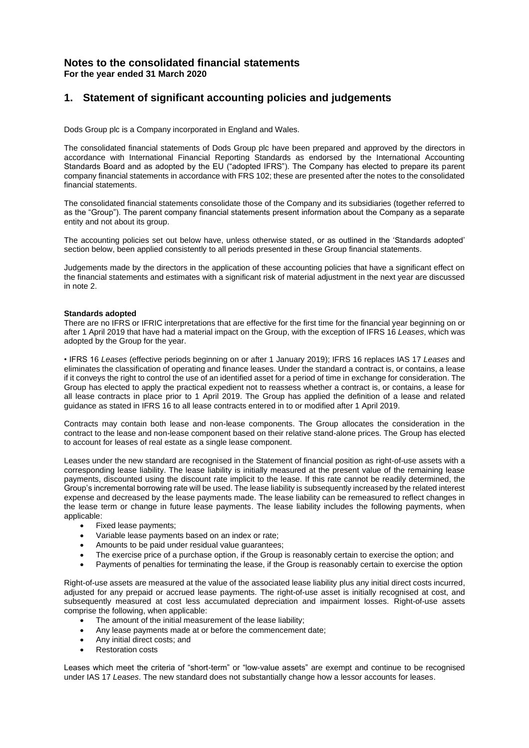### **Notes to the consolidated financial statements For the year ended 31 March 2020**

## **1. Statement of significant accounting policies and judgements**

Dods Group plc is a Company incorporated in England and Wales.

The consolidated financial statements of Dods Group plc have been prepared and approved by the directors in accordance with International Financial Reporting Standards as endorsed by the International Accounting Standards Board and as adopted by the EU ("adopted IFRS"). The Company has elected to prepare its parent company financial statements in accordance with FRS 102; these are presented after the notes to the consolidated financial statements.

The consolidated financial statements consolidate those of the Company and its subsidiaries (together referred to as the "Group"). The parent company financial statements present information about the Company as a separate entity and not about its group.

The accounting policies set out below have, unless otherwise stated, or as outlined in the 'Standards adopted' section below, been applied consistently to all periods presented in these Group financial statements.

Judgements made by the directors in the application of these accounting policies that have a significant effect on the financial statements and estimates with a significant risk of material adjustment in the next year are discussed in note 2.

### **Standards adopted**

There are no IFRS or IFRIC interpretations that are effective for the first time for the financial year beginning on or after 1 April 2019 that have had a material impact on the Group, with the exception of IFRS 16 *Leases*, which was adopted by the Group for the year.

• IFRS 16 *Leases* (effective periods beginning on or after 1 January 2019); IFRS 16 replaces IAS 17 *Leases* and eliminates the classification of operating and finance leases. Under the standard a contract is, or contains, a lease if it conveys the right to control the use of an identified asset for a period of time in exchange for consideration. The Group has elected to apply the practical expedient not to reassess whether a contract is, or contains, a lease for all lease contracts in place prior to 1 April 2019. The Group has applied the definition of a lease and related guidance as stated in IFRS 16 to all lease contracts entered in to or modified after 1 April 2019.

Contracts may contain both lease and non-lease components. The Group allocates the consideration in the contract to the lease and non-lease component based on their relative stand-alone prices. The Group has elected to account for leases of real estate as a single lease component.

Leases under the new standard are recognised in the Statement of financial position as right-of-use assets with a corresponding lease liability. The lease liability is initially measured at the present value of the remaining lease payments, discounted using the discount rate implicit to the lease. If this rate cannot be readily determined, the Group's incremental borrowing rate will be used. The lease liability is subsequently increased by the related interest expense and decreased by the lease payments made. The lease liability can be remeasured to reflect changes in the lease term or change in future lease payments. The lease liability includes the following payments, when applicable:

- Fixed lease payments;
- Variable lease payments based on an index or rate;
- Amounts to be paid under residual value guarantees;
- The exercise price of a purchase option, if the Group is reasonably certain to exercise the option; and
- Payments of penalties for terminating the lease, if the Group is reasonably certain to exercise the option

Right-of-use assets are measured at the value of the associated lease liability plus any initial direct costs incurred, adjusted for any prepaid or accrued lease payments. The right-of-use asset is initially recognised at cost, and subsequently measured at cost less accumulated depreciation and impairment losses. Right-of-use assets comprise the following, when applicable:

- The amount of the initial measurement of the lease liability;
- Any lease payments made at or before the commencement date;
- Any initial direct costs; and
- Restoration costs

Leases which meet the criteria of "short-term" or "low-value assets" are exempt and continue to be recognised under IAS 17 *Leases*. The new standard does not substantially change how a lessor accounts for leases.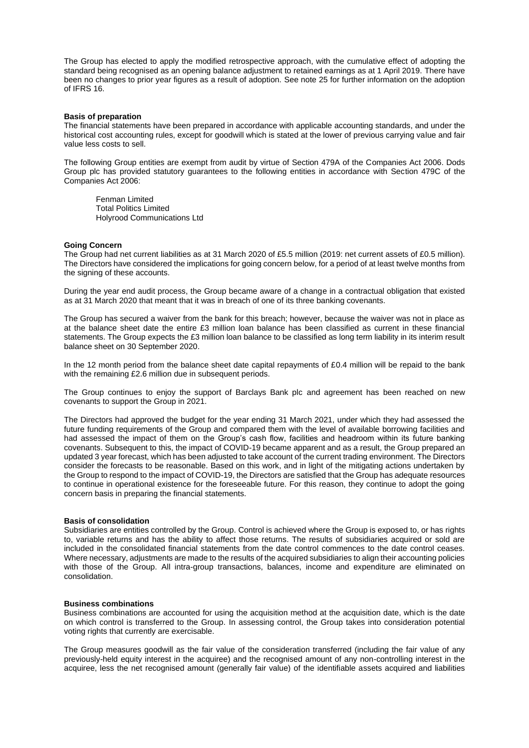The Group has elected to apply the modified retrospective approach, with the cumulative effect of adopting the standard being recognised as an opening balance adjustment to retained earnings as at 1 April 2019. There have been no changes to prior year figures as a result of adoption. See note 25 for further information on the adoption of IFRS 16.

#### **Basis of preparation**

The financial statements have been prepared in accordance with applicable accounting standards, and under the historical cost accounting rules, except for goodwill which is stated at the lower of previous carrying value and fair value less costs to sell.

The following Group entities are exempt from audit by virtue of Section 479A of the Companies Act 2006. Dods Group plc has provided statutory guarantees to the following entities in accordance with Section 479C of the Companies Act 2006:

Fenman Limited Total Politics Limited Holyrood Communications Ltd

#### **Going Concern**

The Group had net current liabilities as at 31 March 2020 of £5.5 million (2019: net current assets of £0.5 million). The Directors have considered the implications for going concern below, for a period of at least twelve months from the signing of these accounts.

During the year end audit process, the Group became aware of a change in a contractual obligation that existed as at 31 March 2020 that meant that it was in breach of one of its three banking covenants.

The Group has secured a waiver from the bank for this breach; however, because the waiver was not in place as at the balance sheet date the entire £3 million loan balance has been classified as current in these financial statements. The Group expects the £3 million loan balance to be classified as long term liability in its interim result balance sheet on 30 September 2020.

In the 12 month period from the balance sheet date capital repayments of £0.4 million will be repaid to the bank with the remaining £2.6 million due in subsequent periods.

The Group continues to enjoy the support of Barclays Bank plc and agreement has been reached on new covenants to support the Group in 2021.

The Directors had approved the budget for the year ending 31 March 2021, under which they had assessed the future funding requirements of the Group and compared them with the level of available borrowing facilities and had assessed the impact of them on the Group's cash flow, facilities and headroom within its future banking covenants. Subsequent to this, the impact of COVID-19 became apparent and as a result, the Group prepared an updated 3 year forecast, which has been adjusted to take account of the current trading environment. The Directors consider the forecasts to be reasonable. Based on this work, and in light of the mitigating actions undertaken by the Group to respond to the impact of COVID-19, the Directors are satisfied that the Group has adequate resources to continue in operational existence for the foreseeable future. For this reason, they continue to adopt the going concern basis in preparing the financial statements.

### **Basis of consolidation**

Subsidiaries are entities controlled by the Group. Control is achieved where the Group is exposed to, or has rights to, variable returns and has the ability to affect those returns. The results of subsidiaries acquired or sold are included in the consolidated financial statements from the date control commences to the date control ceases. Where necessary, adjustments are made to the results of the acquired subsidiaries to align their accounting policies with those of the Group. All intra-group transactions, balances, income and expenditure are eliminated on consolidation.

#### **Business combinations**

Business combinations are accounted for using the acquisition method at the acquisition date, which is the date on which control is transferred to the Group. In assessing control, the Group takes into consideration potential voting rights that currently are exercisable.

The Group measures goodwill as the fair value of the consideration transferred (including the fair value of any previously-held equity interest in the acquiree) and the recognised amount of any non-controlling interest in the acquiree, less the net recognised amount (generally fair value) of the identifiable assets acquired and liabilities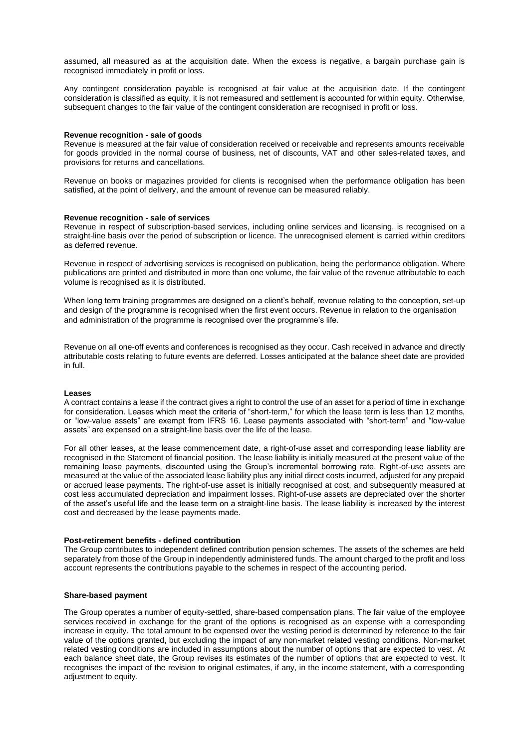assumed, all measured as at the acquisition date. When the excess is negative, a bargain purchase gain is recognised immediately in profit or loss.

Any contingent consideration payable is recognised at fair value at the acquisition date. If the contingent consideration is classified as equity, it is not remeasured and settlement is accounted for within equity. Otherwise, subsequent changes to the fair value of the contingent consideration are recognised in profit or loss.

#### **Revenue recognition - sale of goods**

Revenue is measured at the fair value of consideration received or receivable and represents amounts receivable for goods provided in the normal course of business, net of discounts, VAT and other sales-related taxes, and provisions for returns and cancellations.

Revenue on books or magazines provided for clients is recognised when the performance obligation has been satisfied, at the point of delivery, and the amount of revenue can be measured reliably.

### **Revenue recognition - sale of services**

Revenue in respect of subscription-based services, including online services and licensing, is recognised on a straight-line basis over the period of subscription or licence. The unrecognised element is carried within creditors as deferred revenue.

Revenue in respect of advertising services is recognised on publication, being the performance obligation. Where publications are printed and distributed in more than one volume, the fair value of the revenue attributable to each volume is recognised as it is distributed.

When long term training programmes are designed on a client's behalf, revenue relating to the conception, set-up and design of the programme is recognised when the first event occurs. Revenue in relation to the organisation and administration of the programme is recognised over the programme's life.

Revenue on all one-off events and conferences is recognised as they occur. Cash received in advance and directly attributable costs relating to future events are deferred. Losses anticipated at the balance sheet date are provided in full.

### **Leases**

A contract contains a lease if the contract gives a right to control the use of an asset for a period of time in exchange for consideration. Leases which meet the criteria of "short-term," for which the lease term is less than 12 months, or "low-value assets" are exempt from IFRS 16. Lease payments associated with "short-term" and "low-value assets" are expensed on a straight-line basis over the life of the lease.

For all other leases, at the lease commencement date, a right-of-use asset and corresponding lease liability are recognised in the Statement of financial position. The lease liability is initially measured at the present value of the remaining lease payments, discounted using the Group's incremental borrowing rate. Right-of-use assets are measured at the value of the associated lease liability plus any initial direct costs incurred, adjusted for any prepaid or accrued lease payments. The right-of-use asset is initially recognised at cost, and subsequently measured at cost less accumulated depreciation and impairment losses. Right-of-use assets are depreciated over the shorter of the asset's useful life and the lease term on a straight-line basis. The lease liability is increased by the interest cost and decreased by the lease payments made.

### **Post-retirement benefits - defined contribution**

The Group contributes to independent defined contribution pension schemes. The assets of the schemes are held separately from those of the Group in independently administered funds. The amount charged to the profit and loss account represents the contributions payable to the schemes in respect of the accounting period.

#### **Share-based payment**

The Group operates a number of equity-settled, share-based compensation plans. The fair value of the employee services received in exchange for the grant of the options is recognised as an expense with a corresponding increase in equity. The total amount to be expensed over the vesting period is determined by reference to the fair value of the options granted, but excluding the impact of any non-market related vesting conditions. Non-market related vesting conditions are included in assumptions about the number of options that are expected to vest. At each balance sheet date, the Group revises its estimates of the number of options that are expected to vest. It recognises the impact of the revision to original estimates, if any, in the income statement, with a corresponding adjustment to equity.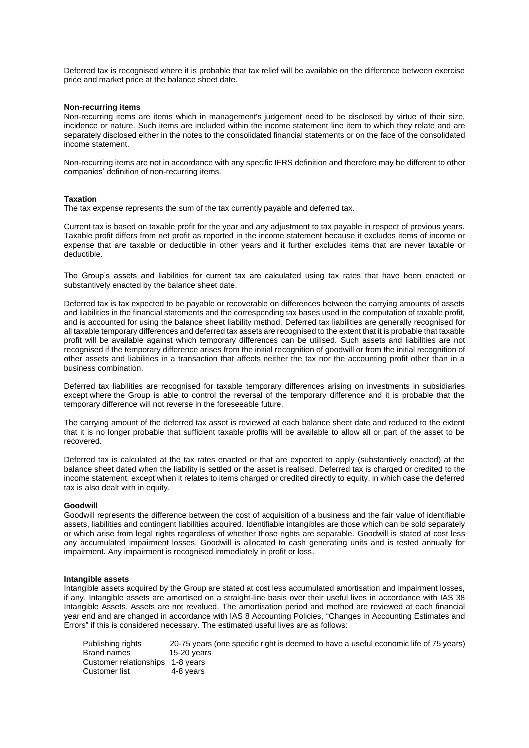Deferred tax is recognised where it is probable that tax relief will be available on the difference between exercise price and market price at the balance sheet date.

#### **Non-recurring items**

Non-recurring items are items which in management's judgement need to be disclosed by virtue of their size, incidence or nature. Such items are included within the income statement line item to which they relate and are separately disclosed either in the notes to the consolidated financial statements or on the face of the consolidated income statement.

Non-recurring items are not in accordance with any specific IFRS definition and therefore may be different to other companies' definition of non-recurring items.

### **Taxation**

The tax expense represents the sum of the tax currently payable and deferred tax.

Current tax is based on taxable profit for the year and any adjustment to tax payable in respect of previous years. Taxable profit differs from net profit as reported in the income statement because it excludes items of income or expense that are taxable or deductible in other years and it further excludes items that are never taxable or deductible.

The Group's assets and liabilities for current tax are calculated using tax rates that have been enacted or substantively enacted by the balance sheet date.

Deferred tax is tax expected to be payable or recoverable on differences between the carrying amounts of assets and liabilities in the financial statements and the corresponding tax bases used in the computation of taxable profit, and is accounted for using the balance sheet liability method. Deferred tax liabilities are generally recognised for all taxable temporary differences and deferred tax assets are recognised to the extent that it is probable that taxable profit will be available against which temporary differences can be utilised. Such assets and liabilities are not recognised if the temporary difference arises from the initial recognition of goodwill or from the initial recognition of other assets and liabilities in a transaction that affects neither the tax nor the accounting profit other than in a business combination.

Deferred tax liabilities are recognised for taxable temporary differences arising on investments in subsidiaries except where the Group is able to control the reversal of the temporary difference and it is probable that the temporary difference will not reverse in the foreseeable future.

The carrying amount of the deferred tax asset is reviewed at each balance sheet date and reduced to the extent that it is no longer probable that sufficient taxable profits will be available to allow all or part of the asset to be recovered.

Deferred tax is calculated at the tax rates enacted or that are expected to apply (substantively enacted) at the balance sheet dated when the liability is settled or the asset is realised. Deferred tax is charged or credited to the income statement, except when it relates to items charged or credited directly to equity, in which case the deferred tax is also dealt with in equity.

#### **Goodwill**

Goodwill represents the difference between the cost of acquisition of a business and the fair value of identifiable assets, liabilities and contingent liabilities acquired. Identifiable intangibles are those which can be sold separately or which arise from legal rights regardless of whether those rights are separable. Goodwill is stated at cost less any accumulated impairment losses. Goodwill is allocated to cash generating units and is tested annually for impairment. Any impairment is recognised immediately in profit or loss.

### **Intangible assets**

Intangible assets acquired by the Group are stated at cost less accumulated amortisation and impairment losses, if any. Intangible assets are amortised on a straight-line basis over their useful lives in accordance with IAS 38 Intangible Assets. Assets are not revalued. The amortisation period and method are reviewed at each financial year end and are changed in accordance with IAS 8 Accounting Policies, "Changes in Accounting Estimates and Errors" if this is considered necessary. The estimated useful lives are as follows:

Publishing rights 20-75 years (one specific right is deemed to have a useful economic life of 75 years) Brand names 15-20 years Customer relationships 1-8 years Customer list 4-8 years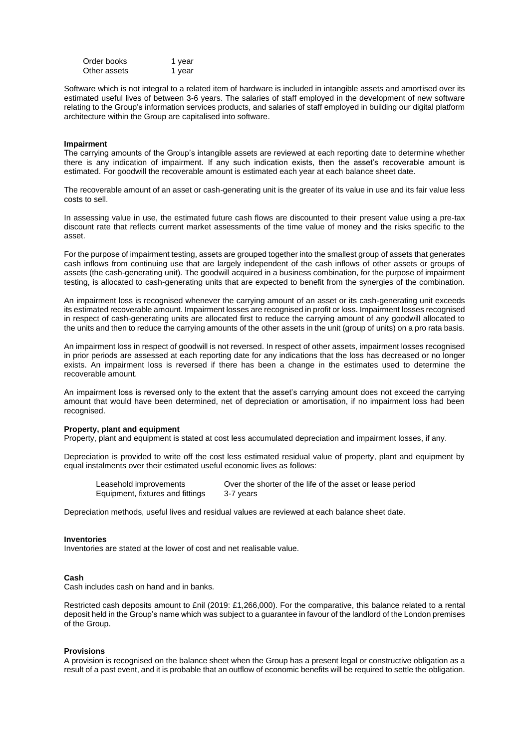| Order books  | 1 year |
|--------------|--------|
| Other assets | 1 year |

Software which is not integral to a related item of hardware is included in intangible assets and amortised over its estimated useful lives of between 3-6 years. The salaries of staff employed in the development of new software relating to the Group's information services products, and salaries of staff employed in building our digital platform architecture within the Group are capitalised into software.

#### **Impairment**

The carrying amounts of the Group's intangible assets are reviewed at each reporting date to determine whether there is any indication of impairment. If any such indication exists, then the asset's recoverable amount is estimated. For goodwill the recoverable amount is estimated each year at each balance sheet date.

The recoverable amount of an asset or cash-generating unit is the greater of its value in use and its fair value less costs to sell.

In assessing value in use, the estimated future cash flows are discounted to their present value using a pre-tax discount rate that reflects current market assessments of the time value of money and the risks specific to the asset.

For the purpose of impairment testing, assets are grouped together into the smallest group of assets that generates cash inflows from continuing use that are largely independent of the cash inflows of other assets or groups of assets (the cash-generating unit). The goodwill acquired in a business combination, for the purpose of impairment testing, is allocated to cash-generating units that are expected to benefit from the synergies of the combination.

An impairment loss is recognised whenever the carrying amount of an asset or its cash-generating unit exceeds its estimated recoverable amount. Impairment losses are recognised in profit or loss. Impairment losses recognised in respect of cash-generating units are allocated first to reduce the carrying amount of any goodwill allocated to the units and then to reduce the carrying amounts of the other assets in the unit (group of units) on a pro rata basis.

An impairment loss in respect of goodwill is not reversed. In respect of other assets, impairment losses recognised in prior periods are assessed at each reporting date for any indications that the loss has decreased or no longer exists. An impairment loss is reversed if there has been a change in the estimates used to determine the recoverable amount.

An impairment loss is reversed only to the extent that the asset's carrying amount does not exceed the carrying amount that would have been determined, net of depreciation or amortisation, if no impairment loss had been recognised.

### **Property, plant and equipment**

Property, plant and equipment is stated at cost less accumulated depreciation and impairment losses, if any.

Depreciation is provided to write off the cost less estimated residual value of property, plant and equipment by equal instalments over their estimated useful economic lives as follows:

Leasehold improvements Cover the shorter of the life of the asset or lease period<br>Equipment, fixtures and fittings 3-7 years Equipment, fixtures and fittings

Depreciation methods, useful lives and residual values are reviewed at each balance sheet date.

### **Inventories**

Inventories are stated at the lower of cost and net realisable value.

#### **Cash**

Cash includes cash on hand and in banks.

Restricted cash deposits amount to £nil (2019: £1,266,000). For the comparative, this balance related to a rental deposit held in the Group's name which was subject to a guarantee in favour of the landlord of the London premises of the Group.

#### **Provisions**

A provision is recognised on the balance sheet when the Group has a present legal or constructive obligation as a result of a past event, and it is probable that an outflow of economic benefits will be required to settle the obligation.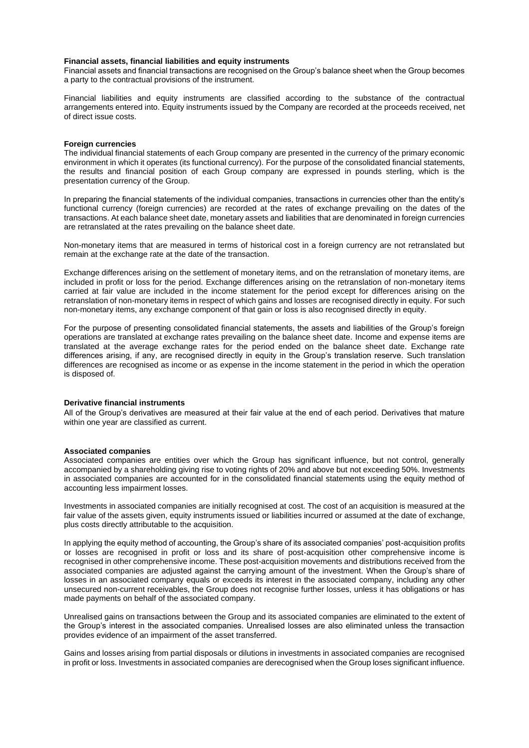#### **Financial assets, financial liabilities and equity instruments**

Financial assets and financial transactions are recognised on the Group's balance sheet when the Group becomes a party to the contractual provisions of the instrument.

Financial liabilities and equity instruments are classified according to the substance of the contractual arrangements entered into. Equity instruments issued by the Company are recorded at the proceeds received, net of direct issue costs.

#### **Foreign currencies**

The individual financial statements of each Group company are presented in the currency of the primary economic environment in which it operates (its functional currency). For the purpose of the consolidated financial statements, the results and financial position of each Group company are expressed in pounds sterling, which is the presentation currency of the Group.

In preparing the financial statements of the individual companies, transactions in currencies other than the entity's functional currency (foreign currencies) are recorded at the rates of exchange prevailing on the dates of the transactions. At each balance sheet date, monetary assets and liabilities that are denominated in foreign currencies are retranslated at the rates prevailing on the balance sheet date.

Non-monetary items that are measured in terms of historical cost in a foreign currency are not retranslated but remain at the exchange rate at the date of the transaction.

Exchange differences arising on the settlement of monetary items, and on the retranslation of monetary items, are included in profit or loss for the period. Exchange differences arising on the retranslation of non-monetary items carried at fair value are included in the income statement for the period except for differences arising on the retranslation of non-monetary items in respect of which gains and losses are recognised directly in equity. For such non-monetary items, any exchange component of that gain or loss is also recognised directly in equity.

For the purpose of presenting consolidated financial statements, the assets and liabilities of the Group's foreign operations are translated at exchange rates prevailing on the balance sheet date. Income and expense items are translated at the average exchange rates for the period ended on the balance sheet date. Exchange rate differences arising, if any, are recognised directly in equity in the Group's translation reserve. Such translation differences are recognised as income or as expense in the income statement in the period in which the operation is disposed of.

### **Derivative financial instruments**

All of the Group's derivatives are measured at their fair value at the end of each period. Derivatives that mature within one year are classified as current.

### **Associated companies**

Associated companies are entities over which the Group has significant influence, but not control, generally accompanied by a shareholding giving rise to voting rights of 20% and above but not exceeding 50%. Investments in associated companies are accounted for in the consolidated financial statements using the equity method of accounting less impairment losses.

Investments in associated companies are initially recognised at cost. The cost of an acquisition is measured at the fair value of the assets given, equity instruments issued or liabilities incurred or assumed at the date of exchange, plus costs directly attributable to the acquisition.

In applying the equity method of accounting, the Group's share of its associated companies' post-acquisition profits or losses are recognised in profit or loss and its share of post-acquisition other comprehensive income is recognised in other comprehensive income. These post-acquisition movements and distributions received from the associated companies are adjusted against the carrying amount of the investment. When the Group's share of losses in an associated company equals or exceeds its interest in the associated company, including any other unsecured non-current receivables, the Group does not recognise further losses, unless it has obligations or has made payments on behalf of the associated company.

Unrealised gains on transactions between the Group and its associated companies are eliminated to the extent of the Group's interest in the associated companies. Unrealised losses are also eliminated unless the transaction provides evidence of an impairment of the asset transferred.

Gains and losses arising from partial disposals or dilutions in investments in associated companies are recognised in profit or loss. Investments in associated companies are derecognised when the Group loses significant influence.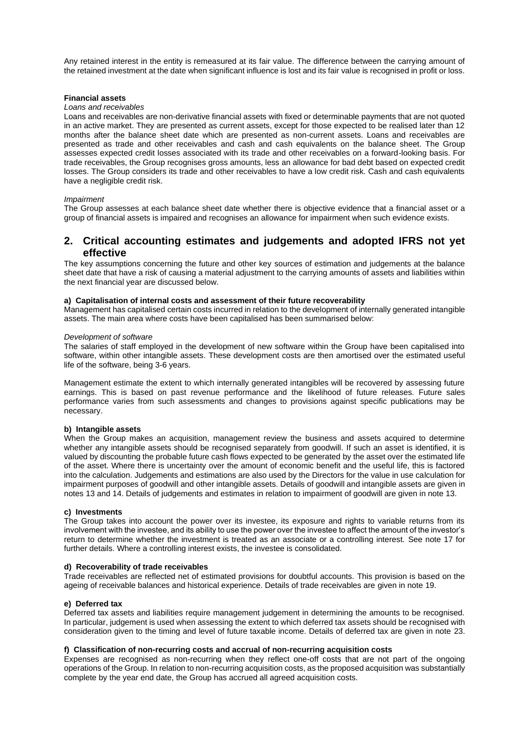Any retained interest in the entity is remeasured at its fair value. The difference between the carrying amount of the retained investment at the date when significant influence is lost and its fair value is recognised in profit or loss.

### **Financial assets**

### *Loans and receivables*

Loans and receivables are non-derivative financial assets with fixed or determinable payments that are not quoted in an active market. They are presented as current assets, except for those expected to be realised later than 12 months after the balance sheet date which are presented as non-current assets. Loans and receivables are presented as trade and other receivables and cash and cash equivalents on the balance sheet. The Group assesses expected credit losses associated with its trade and other receivables on a forward-looking basis. For trade receivables, the Group recognises gross amounts, less an allowance for bad debt based on expected credit losses. The Group considers its trade and other receivables to have a low credit risk. Cash and cash equivalents have a negligible credit risk.

### *Impairment*

The Group assesses at each balance sheet date whether there is objective evidence that a financial asset or a group of financial assets is impaired and recognises an allowance for impairment when such evidence exists.

## **2. Critical accounting estimates and judgements and adopted IFRS not yet effective**

The key assumptions concerning the future and other key sources of estimation and judgements at the balance sheet date that have a risk of causing a material adjustment to the carrying amounts of assets and liabilities within the next financial year are discussed below.

### **a) Capitalisation of internal costs and assessment of their future recoverability**

Management has capitalised certain costs incurred in relation to the development of internally generated intangible assets. The main area where costs have been capitalised has been summarised below:

### *Development of software*

The salaries of staff employed in the development of new software within the Group have been capitalised into software, within other intangible assets. These development costs are then amortised over the estimated useful life of the software, being 3-6 years.

Management estimate the extent to which internally generated intangibles will be recovered by assessing future earnings. This is based on past revenue performance and the likelihood of future releases. Future sales performance varies from such assessments and changes to provisions against specific publications may be necessary.

### **b) Intangible assets**

When the Group makes an acquisition, management review the business and assets acquired to determine whether any intangible assets should be recognised separately from goodwill. If such an asset is identified, it is valued by discounting the probable future cash flows expected to be generated by the asset over the estimated life of the asset. Where there is uncertainty over the amount of economic benefit and the useful life, this is factored into the calculation. Judgements and estimations are also used by the Directors for the value in use calculation for impairment purposes of goodwill and other intangible assets. Details of goodwill and intangible assets are given in notes 13 and 14. Details of judgements and estimates in relation to impairment of goodwill are given in note 13.

### **c) Investments**

The Group takes into account the power over its investee, its exposure and rights to variable returns from its involvement with the investee, and its ability to use the power over the investee to affect the amount of the investor's return to determine whether the investment is treated as an associate or a controlling interest. See note 17 for further details. Where a controlling interest exists, the investee is consolidated.

### **d) Recoverability of trade receivables**

Trade receivables are reflected net of estimated provisions for doubtful accounts. This provision is based on the ageing of receivable balances and historical experience. Details of trade receivables are given in note 19.

### **e) Deferred tax**

Deferred tax assets and liabilities require management judgement in determining the amounts to be recognised. In particular, judgement is used when assessing the extent to which deferred tax assets should be recognised with consideration given to the timing and level of future taxable income. Details of deferred tax are given in note 23.

### **f) Classification of non-recurring costs and accrual of non-recurring acquisition costs**

Expenses are recognised as non-recurring when they reflect one-off costs that are not part of the ongoing operations of the Group. In relation to non-recurring acquisition costs, as the proposed acquisition was substantially complete by the year end date, the Group has accrued all agreed acquisition costs.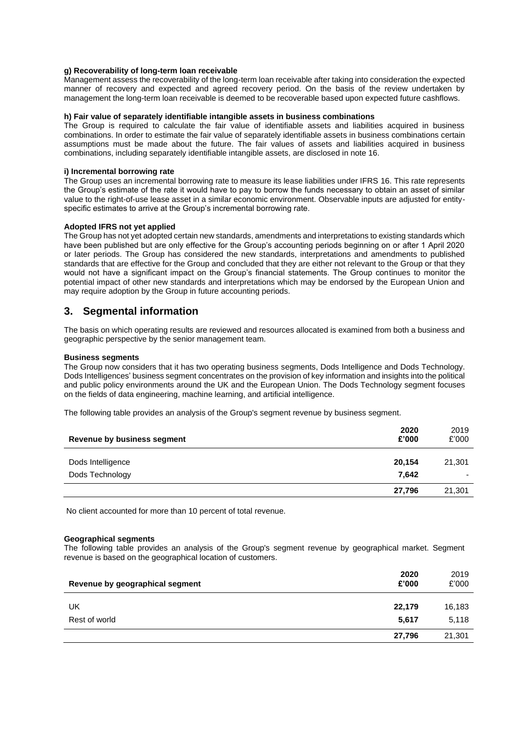### **g) Recoverability of long-term loan receivable**

Management assess the recoverability of the long-term loan receivable after taking into consideration the expected manner of recovery and expected and agreed recovery period. On the basis of the review undertaken by management the long-term loan receivable is deemed to be recoverable based upon expected future cashflows.

### **h) Fair value of separately identifiable intangible assets in business combinations**

The Group is required to calculate the fair value of identifiable assets and liabilities acquired in business combinations. In order to estimate the fair value of separately identifiable assets in business combinations certain assumptions must be made about the future. The fair values of assets and liabilities acquired in business combinations, including separately identifiable intangible assets, are disclosed in note 16.

### **i) Incremental borrowing rate**

The Group uses an incremental borrowing rate to measure its lease liabilities under IFRS 16. This rate represents the Group's estimate of the rate it would have to pay to borrow the funds necessary to obtain an asset of similar value to the right-of-use lease asset in a similar economic environment. Observable inputs are adjusted for entityspecific estimates to arrive at the Group's incremental borrowing rate.

### **Adopted IFRS not yet applied**

The Group has not yet adopted certain new standards, amendments and interpretations to existing standards which have been published but are only effective for the Group's accounting periods beginning on or after 1 April 2020 or later periods. The Group has considered the new standards, interpretations and amendments to published standards that are effective for the Group and concluded that they are either not relevant to the Group or that they would not have a significant impact on the Group's financial statements. The Group continues to monitor the potential impact of other new standards and interpretations which may be endorsed by the European Union and may require adoption by the Group in future accounting periods.

### **3. Segmental information**

The basis on which operating results are reviewed and resources allocated is examined from both a business and geographic perspective by the senior management team.

### **Business segments**

The Group now considers that it has two operating business segments, Dods Intelligence and Dods Technology. Dods Intelligences' business segment concentrates on the provision of key information and insights into the political and public policy environments around the UK and the European Union. The Dods Technology segment focuses on the fields of data engineering, machine learning, and artificial intelligence.

The following table provides an analysis of the Group's segment revenue by business segment.

| <b>Revenue by business segment</b>   | 2020<br>£'000   | 2019<br>£'000 |
|--------------------------------------|-----------------|---------------|
| Dods Intelligence<br>Dods Technology | 20,154<br>7,642 | 21,301<br>-   |
|                                      | 27,796          | 21,301        |

No client accounted for more than 10 percent of total revenue.

### **Geographical segments**

The following table provides an analysis of the Group's segment revenue by geographical market. Segment revenue is based on the geographical location of customers.

| 2020<br>£'000<br>Revenue by geographical segment | 2019<br>£'000 |
|--------------------------------------------------|---------------|
| UK<br>22,179                                     | 16,183        |
| 5,617<br>Rest of world                           | 5,118         |
| 27,796                                           | 21,301        |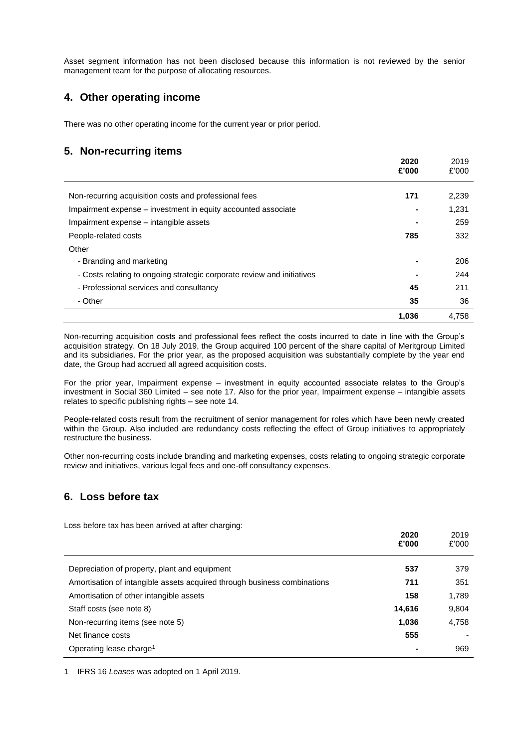Asset segment information has not been disclosed because this information is not reviewed by the senior management team for the purpose of allocating resources.

## **4. Other operating income**

There was no other operating income for the current year or prior period.

## **5. Non-recurring items**

|                                                                        | 2020<br>£'000 | 2019<br>£'000 |
|------------------------------------------------------------------------|---------------|---------------|
| Non-recurring acquisition costs and professional fees                  | 171           | 2,239         |
| Impairment expense – investment in equity accounted associate          | -             | 1,231         |
| Impairment expense - intangible assets                                 |               | 259           |
| People-related costs                                                   | 785           | 332           |
| Other                                                                  |               |               |
| - Branding and marketing                                               | -             | 206           |
| - Costs relating to ongoing strategic corporate review and initiatives |               | 244           |
| - Professional services and consultancy                                | 45            | 211           |
| - Other                                                                | 35            | 36            |
|                                                                        | 1,036         | 4.758         |

Non-recurring acquisition costs and professional fees reflect the costs incurred to date in line with the Group's acquisition strategy. On 18 July 2019, the Group acquired 100 percent of the share capital of Meritgroup Limited and its subsidiaries. For the prior year, as the proposed acquisition was substantially complete by the year end date, the Group had accrued all agreed acquisition costs.

For the prior year, Impairment expense – investment in equity accounted associate relates to the Group's investment in Social 360 Limited – see note 17. Also for the prior year, Impairment expense – intangible assets relates to specific publishing rights – see note 14.

People-related costs result from the recruitment of senior management for roles which have been newly created within the Group. Also included are redundancy costs reflecting the effect of Group initiatives to appropriately restructure the business.

Other non-recurring costs include branding and marketing expenses, costs relating to ongoing strategic corporate review and initiatives, various legal fees and one-off consultancy expenses.

## **6. Loss before tax**

Loss before tax has been arrived at after charging:

|                                                                          | 2020<br>£'000 | 2019<br>£'000 |
|--------------------------------------------------------------------------|---------------|---------------|
| Depreciation of property, plant and equipment                            | 537           | 379           |
| Amortisation of intangible assets acquired through business combinations | 711           | 351           |
| Amortisation of other intangible assets                                  | 158           | 1,789         |
| Staff costs (see note 8)                                                 | 14,616        | 9,804         |
| Non-recurring items (see note 5)                                         | 1,036         | 4,758         |
| Net finance costs                                                        | 555           |               |
| Operating lease charge <sup>1</sup>                                      | ۰             | 969           |

1 IFRS 16 *Leases* was adopted on 1 April 2019.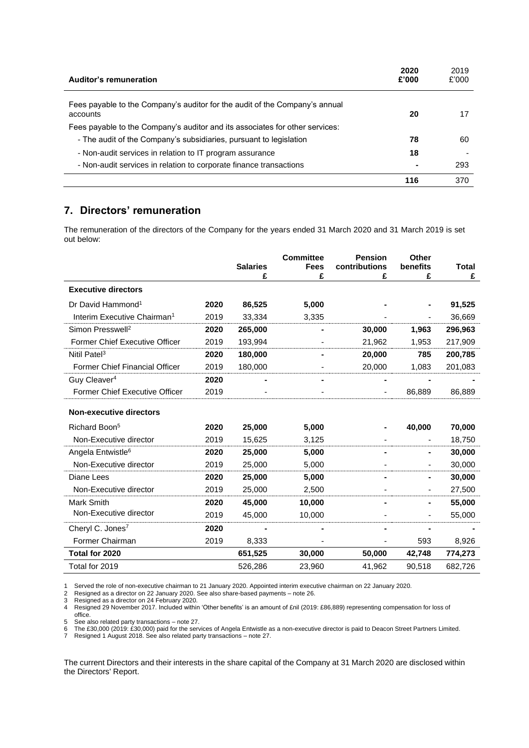| Auditor's remuneration                                                                  | 2020<br>£'000  | 2019<br>£'000 |
|-----------------------------------------------------------------------------------------|----------------|---------------|
| Fees payable to the Company's auditor for the audit of the Company's annual<br>accounts | 20             | 17            |
| Fees payable to the Company's auditor and its associates for other services:            |                |               |
| - The audit of the Company's subsidiaries, pursuant to legislation                      | 78             | 60            |
| - Non-audit services in relation to IT program assurance                                | 18             |               |
| - Non-audit services in relation to corporate finance transactions                      | $\blacksquare$ | 293           |
|                                                                                         | 116            | 370           |

## **7. Directors' remuneration**

The remuneration of the directors of the Company for the years ended 31 March 2020 and 31 March 2019 is set out below:

|                                         |      | <b>Salaries</b> | <b>Committee</b><br><b>Fees</b> | <b>Pension</b><br>contributions | <b>Other</b><br>benefits | <b>Total</b> |
|-----------------------------------------|------|-----------------|---------------------------------|---------------------------------|--------------------------|--------------|
|                                         |      | £               | £                               | £                               | £                        | £            |
| <b>Executive directors</b>              |      |                 |                                 |                                 |                          |              |
| Dr David Hammond <sup>1</sup>           | 2020 | 86,525          | 5,000                           |                                 |                          | 91,525       |
| Interim Executive Chairman <sup>1</sup> | 2019 | 33,334          | 3,335                           |                                 |                          | 36,669       |
| Simon Presswell <sup>2</sup>            | 2020 | 265,000         |                                 | 30,000                          | 1,963                    | 296,963      |
| <b>Former Chief Executive Officer</b>   | 2019 | 193,994         |                                 | 21,962                          | 1,953                    | 217,909      |
| Nitil Patel <sup>3</sup>                | 2020 | 180,000         |                                 | 20,000                          | 785                      | 200,785      |
| <b>Former Chief Financial Officer</b>   | 2019 | 180,000         |                                 | 20,000                          | 1,083                    | 201,083      |
| Guy Cleaver <sup>4</sup>                | 2020 |                 |                                 |                                 |                          |              |
| Former Chief Executive Officer          | 2019 |                 |                                 |                                 | 86,889                   | 86,889       |
| <b>Non-executive directors</b>          |      |                 |                                 |                                 |                          |              |
| Richard Boon <sup>5</sup>               | 2020 | 25,000          | 5,000                           |                                 | 40,000                   | 70,000       |
| Non-Executive director                  | 2019 | 15,625          | 3,125                           |                                 |                          | 18,750       |
| Angela Entwistle <sup>6</sup>           | 2020 | 25,000          | 5,000                           |                                 |                          | 30,000       |
| Non-Executive director                  | 2019 | 25,000          | 5,000                           |                                 | $\overline{\phantom{m}}$ | 30,000       |
| Diane Lees                              | 2020 | 25,000          | 5,000                           |                                 | -                        | 30,000       |
| Non-Executive director                  | 2019 | 25,000          | 2,500                           |                                 |                          | 27,500       |
| <b>Mark Smith</b>                       | 2020 | 45,000          | 10,000                          |                                 | $\blacksquare$           | 55,000       |
| Non-Executive director                  | 2019 | 45,000          | 10,000                          |                                 |                          | 55,000       |
|                                         |      |                 |                                 |                                 |                          |              |
| Cheryl C. Jones <sup>7</sup>            | 2020 |                 |                                 |                                 |                          |              |
| Former Chairman                         | 2019 | 8,333           |                                 |                                 | 593                      | 8,926        |
| Total for 2020                          |      | 651,525         | 30,000                          | 50,000                          | 42,748                   | 774,273      |
| Total for 2019                          |      | 526,286         | 23,960                          | 41,962                          | 90,518                   | 682,726      |

1 Served the role of non-executive chairman to 21 January 2020. Appointed interim executive chairman on 22 January 2020.<br>2 Resigned as a director on 22 January 2020. See also share-based payments – note 26.

3 Resigned as a director on 24 February 2020.

2 Resigned as a director on 22 January 2020. See also share-based payments – note 26.<br>3 Resigned as a director on 24 February 2020.<br>4 Resigned 29 November 2017. Included within 'Other benefits' is an amount of £nil (2019 4 Resigned 29 November 2017. Included within 'Other benefits' is an amount of £nil (2019: £86,889) representing compensation for loss of office.

5 See also related party transactions – note 27.

6 The £30,000 (2019: £30,000) paid for the services of Angela Entwistle as a non-executive director is paid to Deacon Street Partners Limited.

7 Resigned 1 August 2018. See also related party transactions – note 27.

The current Directors and their interests in the share capital of the Company at 31 March 2020 are disclosed within the Directors' Report.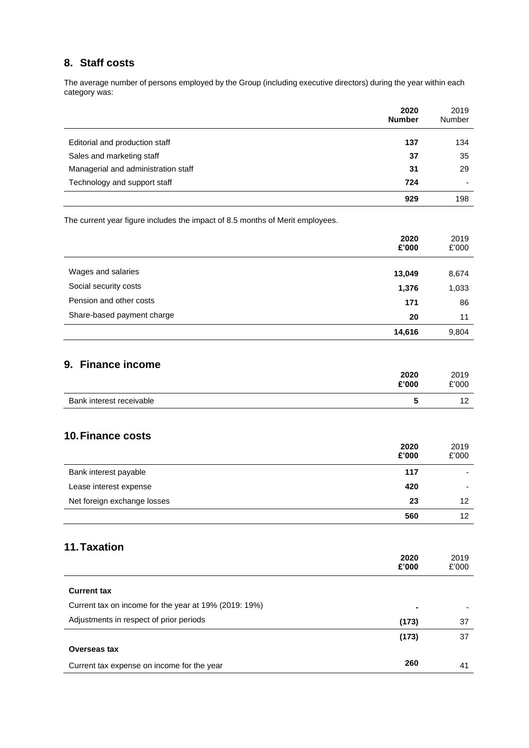## **8. Staff costs**

The average number of persons employed by the Group (including executive directors) during the year within each category was:

|                                     | 2020<br><b>Number</b> | 2019<br>Number           |
|-------------------------------------|-----------------------|--------------------------|
| Editorial and production staff      | 137                   | 134                      |
| Sales and marketing staff           | 37                    | 35                       |
| Managerial and administration staff | 31                    | 29                       |
| Technology and support staff        | 724                   | $\overline{\phantom{0}}$ |
|                                     | 929                   | 198                      |

The current year figure includes the impact of 8.5 months of Merit employees.

|                            | 2020<br>£'000 | 2019<br>£'000 |
|----------------------------|---------------|---------------|
| Wages and salaries         | 13,049        | 8,674         |
| Social security costs      | 1,376         | 1,033         |
| Pension and other costs    | 171           | 86            |
| Share-based payment charge | 20            | 11            |
|                            | 14,616        | 9,804         |

## **9. Finance income**

|                          | 2020<br>£'000 | 2019<br>£'000 |
|--------------------------|---------------|---------------|
| Bank interest receivable | ۰.            | $\sim$<br>. . |

## **10.Finance costs**

| .                           | 2020<br>£'000 | 2019<br>£'000 |
|-----------------------------|---------------|---------------|
| Bank interest payable       | 117           |               |
| Lease interest expense      | 420           |               |
| Net foreign exchange losses | 23            | 12            |
|                             | 560           | 12            |

# **11.Taxation**

|                                                       | 2020<br>£'000 | 2019<br>£'000 |
|-------------------------------------------------------|---------------|---------------|
| <b>Current tax</b>                                    |               |               |
| Current tax on income for the year at 19% (2019: 19%) | ۰             |               |
| Adjustments in respect of prior periods               | (173)         | 37            |
|                                                       | (173)         | 37            |
| Overseas tax                                          |               |               |
| Current tax expense on income for the year            | 260           | 41            |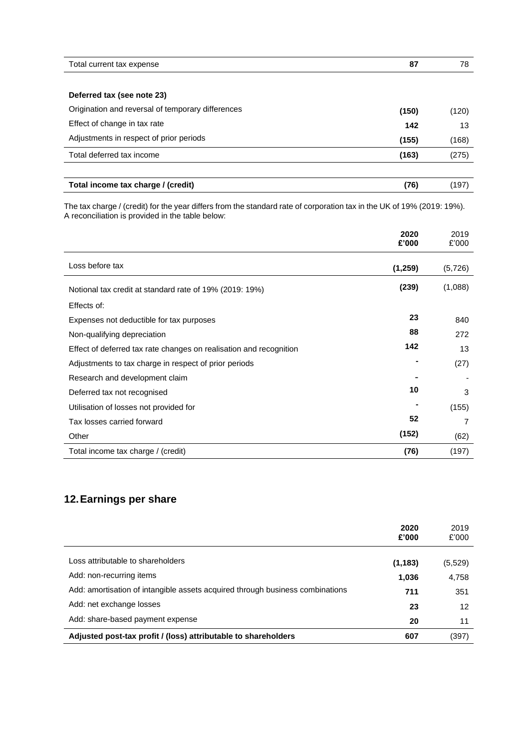| Total current tax expense                         | 87    | 78    |
|---------------------------------------------------|-------|-------|
|                                                   |       |       |
| Deferred tax (see note 23)                        |       |       |
| Origination and reversal of temporary differences | (150) | (120) |
| Effect of change in tax rate                      | 142   | 13    |
| Adjustments in respect of prior periods           | (155) | (168) |
| Total deferred tax income                         | (163) | (275) |
|                                                   |       |       |
| Total income tax charge / (credit)                | (76)  | (197) |

The tax charge / (credit) for the year differs from the standard rate of corporation tax in the UK of 19% (2019: 19%). A reconciliation is provided in the table below:

|                                                                    | 2020<br>£'000 | 2019<br>£'000 |
|--------------------------------------------------------------------|---------------|---------------|
| Loss before tax                                                    | (1, 259)      | (5, 726)      |
| Notional tax credit at standard rate of 19% (2019: 19%)            | (239)         | (1,088)       |
| Effects of:                                                        |               |               |
| Expenses not deductible for tax purposes                           | 23            | 840           |
| Non-qualifying depreciation                                        | 88            | 272           |
| Effect of deferred tax rate changes on realisation and recognition | 142           | 13            |
| Adjustments to tax charge in respect of prior periods              |               | (27)          |
| Research and development claim                                     |               |               |
| Deferred tax not recognised                                        | 10            | 3             |
| Utilisation of losses not provided for                             |               | (155)         |
| Tax losses carried forward                                         | 52            | 7             |
| Other                                                              | (152)         | (62)          |
| Total income tax charge / (credit)                                 | (76)          | (197)         |

# **12.Earnings per share**

|                                                                               | 2020<br>£'000 | 2019<br>£'000 |
|-------------------------------------------------------------------------------|---------------|---------------|
| Loss attributable to shareholders                                             | (1, 183)      | (5,529)       |
| Add: non-recurring items                                                      | 1,036         | 4,758         |
| Add: amortisation of intangible assets acquired through business combinations | 711           | 351           |
| Add: net exchange losses                                                      | 23            | 12            |
| Add: share-based payment expense                                              | 20            | 11            |
| Adjusted post-tax profit / (loss) attributable to shareholders                | 607           | (397)         |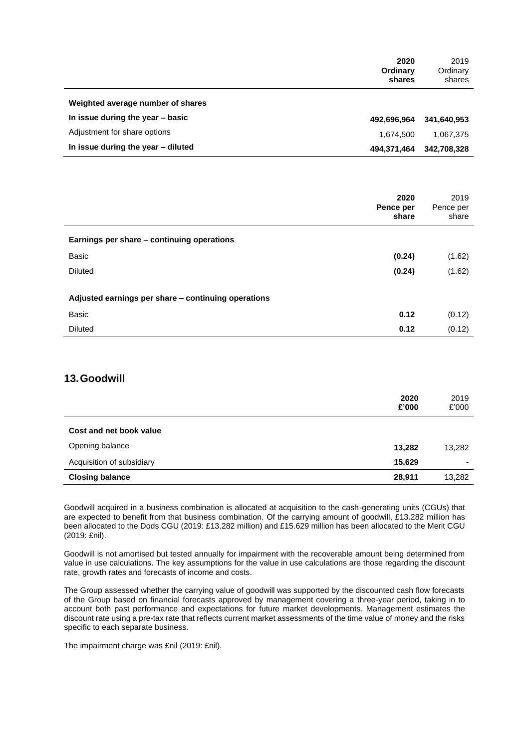|                                    | 2020<br>Ordinary<br>shares | 2019<br>Ordinary<br>shares |
|------------------------------------|----------------------------|----------------------------|
| Weighted average number of shares  |                            |                            |
| In issue during the year - basic   | 492,696,964                | 341.640.953                |
| Adjustment for share options       | 1.674.500                  | 1,067,375                  |
| In issue during the year - diluted | 494.371.464                | 342.708.328                |

|                                                     | 2020<br>Pence per<br>share | 2019<br>Pence per<br>share |
|-----------------------------------------------------|----------------------------|----------------------------|
| Earnings per share - continuing operations          |                            |                            |
| Basic                                               | (0.24)                     | (1.62)                     |
| <b>Diluted</b>                                      | (0.24)                     | (1.62)                     |
| Adjusted earnings per share – continuing operations |                            |                            |
| Basic                                               | 0.12                       | (0.12)                     |
| <b>Diluted</b>                                      | 0.12                       | (0.12)                     |

## **13.Goodwill**

|                           | 2020<br>£'000 | 2019<br>£'000            |
|---------------------------|---------------|--------------------------|
| Cost and net book value   |               |                          |
| Opening balance           | 13,282        | 13,282                   |
| Acquisition of subsidiary | 15,629        | $\overline{\phantom{0}}$ |
| <b>Closing balance</b>    | 28,911        | 13,282                   |

Goodwill acquired in a business combination is allocated at acquisition to the cash-generating units (CGUs) that are expected to benefit from that business combination. Of the carrying amount of goodwill, £13.282 million has been allocated to the Dods CGU (2019: £13.282 million) and £15.629 million has been allocated to the Merit CGU (2019: £nil).

Goodwill is not amortised but tested annually for impairment with the recoverable amount being determined from value in use calculations. The key assumptions for the value in use calculations are those regarding the discount rate, growth rates and forecasts of income and costs.

The Group assessed whether the carrying value of goodwill was supported by the discounted cash flow forecasts of the Group based on financial forecasts approved by management covering a three-year period, taking in to account both past performance and expectations for future market developments. Management estimates the discount rate using a pre-tax rate that reflects current market assessments of the time value of money and the risks specific to each separate business.

The impairment charge was £nil (2019: £nil).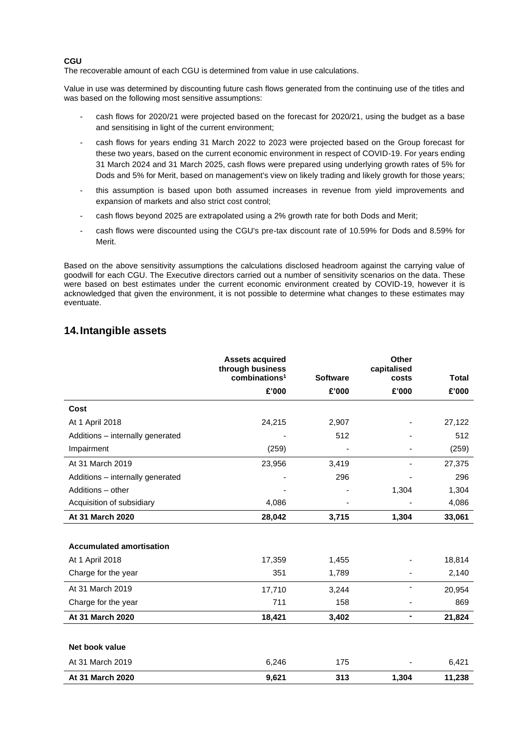### **CGU**

The recoverable amount of each CGU is determined from value in use calculations.

Value in use was determined by discounting future cash flows generated from the continuing use of the titles and was based on the following most sensitive assumptions:

- cash flows for 2020/21 were projected based on the forecast for 2020/21, using the budget as a base and sensitising in light of the current environment;
- cash flows for years ending 31 March 2022 to 2023 were projected based on the Group forecast for these two years, based on the current economic environment in respect of COVID-19. For years ending 31 March 2024 and 31 March 2025, cash flows were prepared using underlying growth rates of 5% for Dods and 5% for Merit, based on management's view on likely trading and likely growth for those years;
- this assumption is based upon both assumed increases in revenue from yield improvements and expansion of markets and also strict cost control;
- cash flows beyond 2025 are extrapolated using a 2% growth rate for both Dods and Merit;
- cash flows were discounted using the CGU's pre-tax discount rate of 10.59% for Dods and 8.59% for Merit.

Based on the above sensitivity assumptions the calculations disclosed headroom against the carrying value of goodwill for each CGU. The Executive directors carried out a number of sensitivity scenarios on the data. These were based on best estimates under the current economic environment created by COVID-19, however it is acknowledged that given the environment, it is not possible to determine what changes to these estimates may eventuate.

## **14.Intangible assets**

|                                  | <b>Assets acquired</b><br>through business |                 | Other<br>capitalised |              |
|----------------------------------|--------------------------------------------|-----------------|----------------------|--------------|
|                                  | combinations <sup>1</sup>                  | <b>Software</b> | costs                | <b>Total</b> |
|                                  | £'000                                      | £'000           | £'000                | £'000        |
| Cost                             |                                            |                 |                      |              |
| At 1 April 2018                  | 24,215                                     | 2,907           |                      | 27,122       |
| Additions - internally generated |                                            | 512             |                      | 512          |
| Impairment                       | (259)                                      |                 |                      | (259)        |
| At 31 March 2019                 | 23,956                                     | 3,419           |                      | 27,375       |
| Additions - internally generated |                                            | 296             |                      | 296          |
| Additions - other                |                                            |                 | 1,304                | 1,304        |
| Acquisition of subsidiary        | 4,086                                      |                 |                      | 4,086        |
| At 31 March 2020                 | 28,042                                     | 3,715           | 1,304                | 33,061       |
|                                  |                                            |                 |                      |              |
| <b>Accumulated amortisation</b>  |                                            |                 |                      |              |
| At 1 April 2018                  | 17,359                                     | 1,455           |                      | 18,814       |
| Charge for the year              | 351                                        | 1,789           |                      | 2,140        |
| At 31 March 2019                 | 17,710                                     | 3,244           | $\blacksquare$       | 20,954       |
| Charge for the year              | 711                                        | 158             |                      | 869          |
| At 31 March 2020                 | 18,421                                     | 3,402           | $\blacksquare$       | 21,824       |
|                                  |                                            |                 |                      |              |
| Net book value                   |                                            |                 |                      |              |
| At 31 March 2019                 | 6,246                                      | 175             |                      | 6,421        |
| At 31 March 2020                 | 9,621                                      | 313             | 1,304                | 11,238       |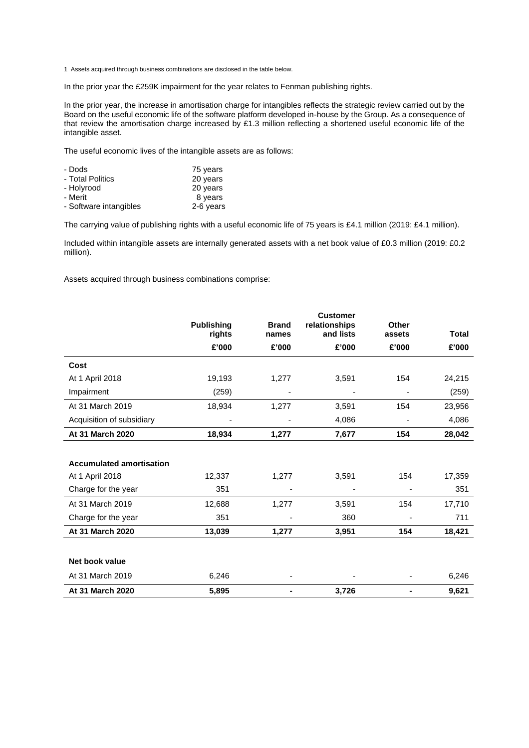1 Assets acquired through business combinations are disclosed in the table below.

In the prior year the £259K impairment for the year relates to Fenman publishing rights.

In the prior year, the increase in amortisation charge for intangibles reflects the strategic review carried out by the Board on the useful economic life of the software platform developed in-house by the Group. As a consequence of that review the amortisation charge increased by £1.3 million reflecting a shortened useful economic life of the intangible asset.

The useful economic lives of the intangible assets are as follows:

| - Dods                 | 75 years  |
|------------------------|-----------|
| - Total Politics       | 20 years  |
| - Holyrood             | 20 years  |
| - Merit                | 8 years   |
| - Software intangibles | 2-6 years |

The carrying value of publishing rights with a useful economic life of 75 years is £4.1 million (2019: £4.1 million).

Included within intangible assets are internally generated assets with a net book value of £0.3 million (2019: £0.2 million).

Assets acquired through business combinations comprise:

|                                 | <b>Publishing</b> | <b>Brand</b>   | <b>Customer</b><br>relationships | <b>Other</b>   |        |
|---------------------------------|-------------------|----------------|----------------------------------|----------------|--------|
|                                 | rights            | names          | and lists                        | assets         | Total  |
|                                 | £'000             | £'000          | £'000                            | £'000          | £'000  |
| Cost                            |                   |                |                                  |                |        |
| At 1 April 2018                 | 19,193            | 1,277          | 3,591                            | 154            | 24,215 |
| Impairment                      | (259)             |                |                                  |                | (259)  |
| At 31 March 2019                | 18,934            | 1,277          | 3,591                            | 154            | 23,956 |
| Acquisition of subsidiary       | -                 |                | 4,086                            |                | 4,086  |
| At 31 March 2020                | 18,934            | 1,277          | 7,677                            | 154            | 28,042 |
|                                 |                   |                |                                  |                |        |
| <b>Accumulated amortisation</b> |                   |                |                                  |                |        |
| At 1 April 2018                 | 12,337            | 1,277          | 3,591                            | 154            | 17,359 |
| Charge for the year             | 351               |                | ٠                                | ۰              | 351    |
| At 31 March 2019                | 12,688            | 1,277          | 3,591                            | 154            | 17,710 |
| Charge for the year             | 351               |                | 360                              |                | 711    |
| At 31 March 2020                | 13,039            | 1,277          | 3,951                            | 154            | 18,421 |
|                                 |                   |                |                                  |                |        |
| Net book value                  |                   |                |                                  |                |        |
| At 31 March 2019                | 6,246             |                |                                  |                | 6,246  |
| At 31 March 2020                | 5,895             | $\blacksquare$ | 3,726                            | $\blacksquare$ | 9,621  |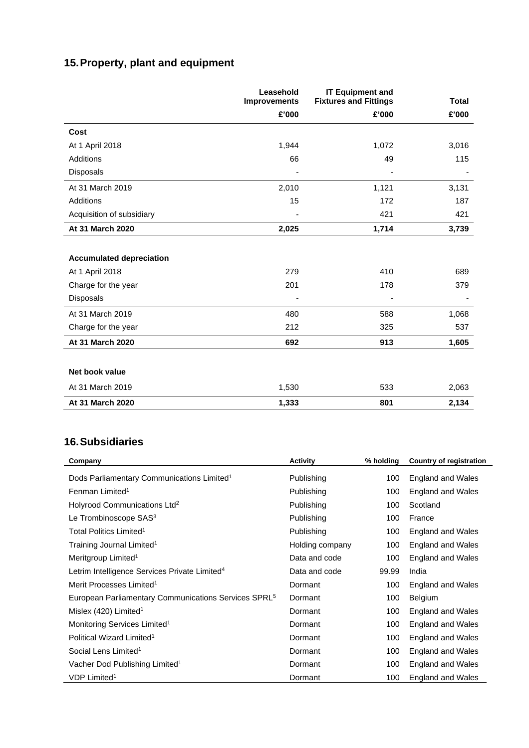# **15.Property, plant and equipment**

|                                 | Leasehold<br><b>Improvements</b> | <b>IT Equipment and</b><br><b>Fixtures and Fittings</b> | <b>Total</b> |
|---------------------------------|----------------------------------|---------------------------------------------------------|--------------|
|                                 | £'000                            | £'000                                                   | £'000        |
| Cost                            |                                  |                                                         |              |
| At 1 April 2018                 | 1,944                            | 1,072                                                   | 3,016        |
| <b>Additions</b>                | 66                               | 49                                                      | 115          |
| Disposals                       |                                  |                                                         |              |
| At 31 March 2019                | 2,010                            | 1,121                                                   | 3,131        |
| Additions                       | 15                               | 172                                                     | 187          |
| Acquisition of subsidiary       |                                  | 421                                                     | 421          |
| At 31 March 2020                | 2,025                            | 1,714                                                   | 3,739        |
|                                 |                                  |                                                         |              |
| <b>Accumulated depreciation</b> |                                  |                                                         |              |
| At 1 April 2018                 | 279                              | 410                                                     | 689          |
| Charge for the year             | 201                              | 178                                                     | 379          |
| <b>Disposals</b>                | ÷,                               |                                                         |              |
| At 31 March 2019                | 480                              | 588                                                     | 1,068        |
| Charge for the year             | 212                              | 325                                                     | 537          |
| At 31 March 2020                | 692                              | 913                                                     | 1,605        |
|                                 |                                  |                                                         |              |
| Net book value                  |                                  |                                                         |              |
| At 31 March 2019                | 1,530                            | 533                                                     | 2,063        |
| At 31 March 2020                | 1,333                            | 801                                                     | 2,134        |

# **16.Subsidiaries**

| Company                                                          | <b>Activity</b> | % holding | <b>Country of registration</b> |
|------------------------------------------------------------------|-----------------|-----------|--------------------------------|
| Dods Parliamentary Communications Limited <sup>1</sup>           | Publishing      | 100       | England and Wales              |
| Fenman Limited <sup>1</sup>                                      | Publishing      | 100       | <b>England and Wales</b>       |
| Holyrood Communications Ltd <sup>2</sup>                         | Publishing      | 100       | Scotland                       |
| Le Trombinoscope SAS <sup>3</sup>                                | Publishing      | 100       | France                         |
| Total Politics Limited <sup>1</sup>                              | Publishing      | 100       | England and Wales              |
| Training Journal Limited <sup>1</sup>                            | Holding company | 100       | England and Wales              |
| Meritgroup Limited <sup>1</sup>                                  | Data and code   | 100       | England and Wales              |
| Letrim Intelligence Services Private Limited <sup>4</sup>        | Data and code   | 99.99     | India                          |
| Merit Processes Limited <sup>1</sup>                             | Dormant         | 100       | England and Wales              |
| European Parliamentary Communications Services SPRL <sup>5</sup> | Dormant         | 100       | Belgium                        |
| Mislex $(420)$ Limited <sup>1</sup>                              | Dormant         | 100       | England and Wales              |
| Monitoring Services Limited <sup>1</sup>                         | Dormant         | 100       | <b>England and Wales</b>       |
| Political Wizard Limited <sup>1</sup>                            | Dormant         | 100       | <b>England and Wales</b>       |
| Social Lens Limited <sup>1</sup>                                 | Dormant         | 100       | England and Wales              |
| Vacher Dod Publishing Limited <sup>1</sup>                       | Dormant         | 100       | England and Wales              |
| VDP Limited <sup>1</sup>                                         | Dormant         | 100       | England and Wales              |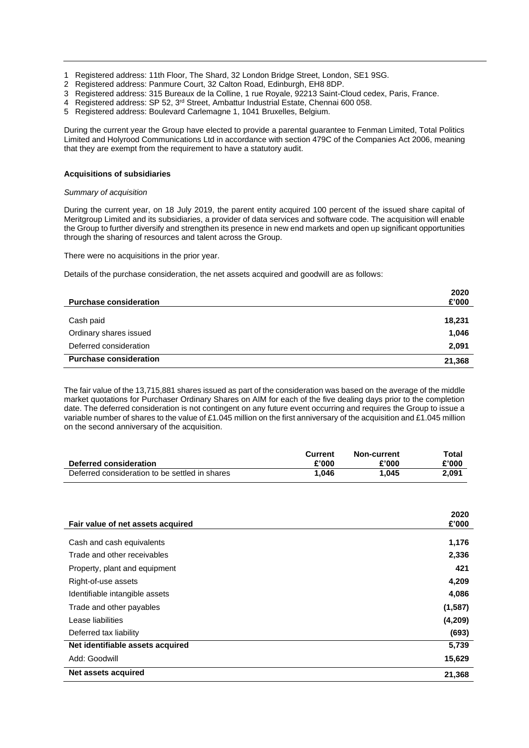- 1 Registered address: 11th Floor, The Shard, 32 London Bridge Street, London, SE1 9SG.<br>2 Registered address: Panmure Court. 32 Calton Road, Edinburgh, EH8 8DP.
- 2 Registered address: Panmure Court, 32 Calton Road, Edinburgh, EH8 8DP.
- 3 Registered address: 315 Bureaux de la Colline, 1 rue Royale, 92213 Saint-Cloud cedex, Paris, France.
- 4 Registered address: SP 52, 3rd Street, Ambattur Industrial Estate, Chennai 600 058.
- 5 Registered address: Boulevard Carlemagne 1, 1041 Bruxelles, Belgium.

During the current year the Group have elected to provide a parental guarantee to Fenman Limited, Total Politics Limited and Holyrood Communications Ltd in accordance with section 479C of the Companies Act 2006, meaning that they are exempt from the requirement to have a statutory audit.

### **Acquisitions of subsidiaries**

#### *Summary of acquisition*

During the current year, on 18 July 2019, the parent entity acquired 100 percent of the issued share capital of Meritgroup Limited and its subsidiaries, a provider of data services and software code. The acquisition will enable the Group to further diversify and strengthen its presence in new end markets and open up significant opportunities through the sharing of resources and talent across the Group.

There were no acquisitions in the prior year.

Details of the purchase consideration, the net assets acquired and goodwill are as follows:

|                               | 2020   |
|-------------------------------|--------|
| <b>Purchase consideration</b> | £'000  |
|                               |        |
| Cash paid                     | 18,231 |
| Ordinary shares issued        | 1,046  |
| Deferred consideration        | 2,091  |
| <b>Purchase consideration</b> | 21,368 |

The fair value of the 13,715,881 shares issued as part of the consideration was based on the average of the middle market quotations for Purchaser Ordinary Shares on AIM for each of the five dealing days prior to the completion date. The deferred consideration is not contingent on any future event occurring and requires the Group to issue a variable number of shares to the value of £1.045 million on the first anniversary of the acquisition and £1.045 million on the second anniversary of the acquisition.

|                                                | Current | Non-current | Total |
|------------------------------------------------|---------|-------------|-------|
| Deferred consideration                         | £'000   | £'000       | £'000 |
| Deferred consideration to be settled in shares | .046    | 1.045       | 2.091 |

| Fair value of net assets acquired | 2020<br>£'000 |
|-----------------------------------|---------------|
|                                   |               |
| Cash and cash equivalents         | 1,176         |
| Trade and other receivables       | 2,336         |
| Property, plant and equipment     | 421           |
| Right-of-use assets               | 4,209         |
| Identifiable intangible assets    | 4,086         |
| Trade and other payables          | (1, 587)      |
| Lease liabilities                 | (4,209)       |
| Deferred tax liability            | (693)         |
| Net identifiable assets acquired  | 5,739         |
| Add: Goodwill                     | 15,629        |
| Net assets acquired               | 21,368        |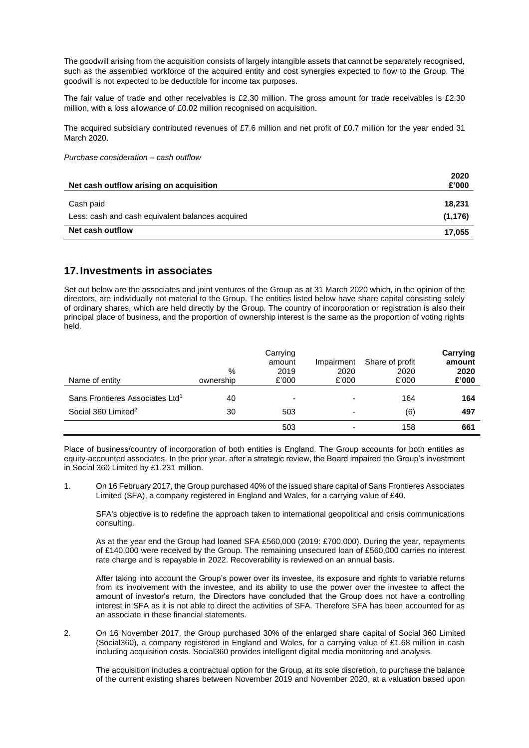The goodwill arising from the acquisition consists of largely intangible assets that cannot be separately recognised, such as the assembled workforce of the acquired entity and cost synergies expected to flow to the Group. The goodwill is not expected to be deductible for income tax purposes.

The fair value of trade and other receivables is £2.30 million. The gross amount for trade receivables is £2.30 million, with a loss allowance of £0.02 million recognised on acquisition.

The acquired subsidiary contributed revenues of £7.6 million and net profit of £0.7 million for the year ended 31 March 2020.

*Purchase consideration – cash outflow*

| Net cash outflow arising on acquisition          | 2020<br>£'000      |
|--------------------------------------------------|--------------------|
| Cash paid                                        | 18,231             |
| Net cash outflow                                 | (1, 176)<br>17.055 |
| Less: cash and cash equivalent balances acquired |                    |

## **17.Investments in associates**

Set out below are the associates and joint ventures of the Group as at 31 March 2020 which, in the opinion of the directors, are individually not material to the Group. The entities listed below have share capital consisting solely of ordinary shares, which are held directly by the Group. The country of incorporation or registration is also their principal place of business, and the proportion of ownership interest is the same as the proportion of voting rights held.

| Name of entity                              | %<br>ownership | Carrying<br>amount<br>2019<br>£'000 | Impairment<br>2020<br>£'000 | Share of profit<br>2020<br>£'000 | Carrying<br>amount<br>2020<br>£'000 |
|---------------------------------------------|----------------|-------------------------------------|-----------------------------|----------------------------------|-------------------------------------|
| Sans Frontieres Associates Ltd <sup>1</sup> | 40             | $\overline{\phantom{0}}$            | -                           | 164                              | 164                                 |
| Social 360 Limited <sup>2</sup>             | 30             | 503                                 | $\overline{\phantom{0}}$    | (6)                              | 497                                 |
|                                             |                | 503                                 | -                           | 158                              | 661                                 |

Place of business/country of incorporation of both entities is England. The Group accounts for both entities as equity-accounted associates. In the prior year. after a strategic review, the Board impaired the Group's investment in Social 360 Limited by £1.231 million.

1. On 16 February 2017, the Group purchased 40% of the issued share capital of Sans Frontieres Associates Limited (SFA), a company registered in England and Wales, for a carrying value of £40.

SFA's objective is to redefine the approach taken to international geopolitical and crisis communications consulting.

As at the year end the Group had loaned SFA £560,000 (2019: £700,000). During the year, repayments of £140,000 were received by the Group. The remaining unsecured loan of £560,000 carries no interest rate charge and is repayable in 2022. Recoverability is reviewed on an annual basis.

After taking into account the Group's power over its investee, its exposure and rights to variable returns from its involvement with the investee, and its ability to use the power over the investee to affect the amount of investor's return, the Directors have concluded that the Group does not have a controlling interest in SFA as it is not able to direct the activities of SFA. Therefore SFA has been accounted for as an associate in these financial statements.

2. On 16 November 2017, the Group purchased 30% of the enlarged share capital of Social 360 Limited (Social360), a company registered in England and Wales, for a carrying value of £1.68 million in cash including acquisition costs. Social360 provides intelligent digital media monitoring and analysis.

The acquisition includes a contractual option for the Group, at its sole discretion, to purchase the balance of the current existing shares between November 2019 and November 2020, at a valuation based upon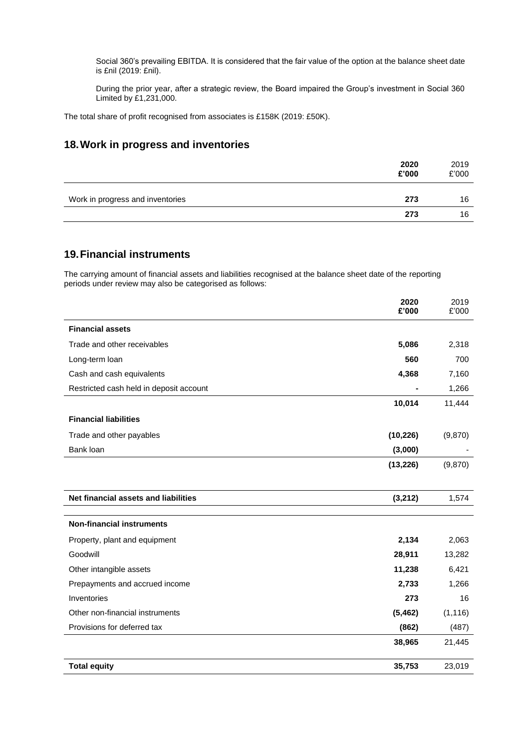Social 360's prevailing EBITDA. It is considered that the fair value of the option at the balance sheet date is £nil (2019: £nil).

During the prior year, after a strategic review, the Board impaired the Group's investment in Social 360 Limited by £1,231,000.

The total share of profit recognised from associates is £158K (2019: £50K).

## **18.Work in progress and inventories**

|                                  | 2020<br>£'000 | 2019<br>£'000 |
|----------------------------------|---------------|---------------|
| Work in progress and inventories | 273           | 16            |
|                                  | 273           | 16            |

## **19.Financial instruments**

The carrying amount of financial assets and liabilities recognised at the balance sheet date of the reporting periods under review may also be categorised as follows:

|                                         | 2020<br>£'000 | 2019<br>£'000 |
|-----------------------------------------|---------------|---------------|
| <b>Financial assets</b>                 |               |               |
| Trade and other receivables             | 5,086         | 2,318         |
| Long-term loan                          | 560           | 700           |
| Cash and cash equivalents               | 4,368         | 7,160         |
| Restricted cash held in deposit account |               | 1,266         |
|                                         | 10,014        | 11,444        |
| <b>Financial liabilities</b>            |               |               |
| Trade and other payables                | (10, 226)     | (9,870)       |
| Bank loan                               | (3,000)       |               |
|                                         | (13, 226)     | (9,870)       |
|                                         |               |               |
|                                         |               |               |
| Net financial assets and liabilities    | (3, 212)      | 1,574         |
|                                         |               |               |
| <b>Non-financial instruments</b>        |               |               |
| Property, plant and equipment           | 2,134         | 2,063         |
| Goodwill                                | 28,911        | 13,282        |
| Other intangible assets                 | 11,238        | 6,421         |
| Prepayments and accrued income          | 2,733         | 1,266         |
| Inventories                             | 273           | 16            |
| Other non-financial instruments         | (5, 462)      | (1, 116)      |
| Provisions for deferred tax             | (862)         | (487)         |
|                                         | 38,965        | 21,445        |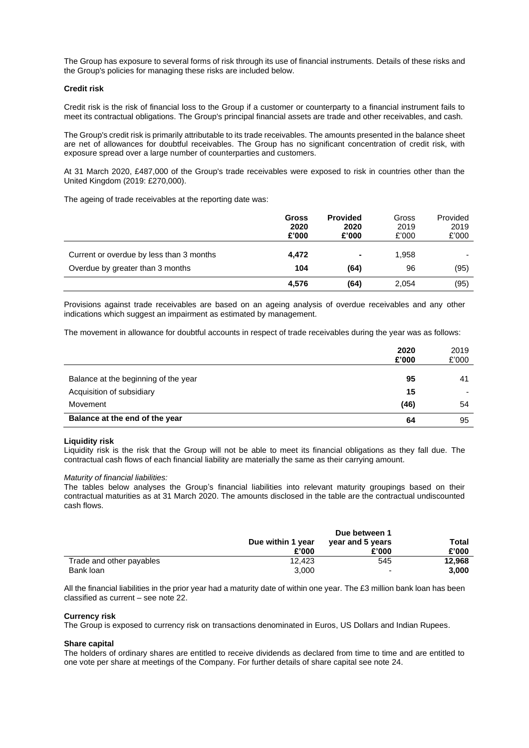The Group has exposure to several forms of risk through its use of financial instruments. Details of these risks and the Group's policies for managing these risks are included below.

### **Credit risk**

Credit risk is the risk of financial loss to the Group if a customer or counterparty to a financial instrument fails to meet its contractual obligations. The Group's principal financial assets are trade and other receivables, and cash.

The Group's credit risk is primarily attributable to its trade receivables. The amounts presented in the balance sheet are net of allowances for doubtful receivables. The Group has no significant concentration of credit risk, with exposure spread over a large number of counterparties and customers.

At 31 March 2020, £487,000 of the Group's trade receivables were exposed to risk in countries other than the United Kingdom (2019: £270,000).

The ageing of trade receivables at the reporting date was:

|                                          | <b>Gross</b><br>2020<br>£'000 | <b>Provided</b><br>2020<br>£'000 | Gross<br>2019<br>£'000 | Provided<br>2019<br>£'000 |
|------------------------------------------|-------------------------------|----------------------------------|------------------------|---------------------------|
| Current or overdue by less than 3 months | 4.472                         | $\blacksquare$                   | 1.958                  | ۰                         |
| Overdue by greater than 3 months         | 104                           | (64)                             | 96                     | (95)                      |
|                                          | 4,576                         | (64)                             | 2,054                  | (95)                      |

Provisions against trade receivables are based on an ageing analysis of overdue receivables and any other indications which suggest an impairment as estimated by management.

The movement in allowance for doubtful accounts in respect of trade receivables during the year was as follows:

|                                      | 2020<br>£'000 | 2019<br>£'000 |
|--------------------------------------|---------------|---------------|
| Balance at the beginning of the year | 95            | 41            |
| Acquisition of subsidiary            | 15            |               |
| Movement                             | (46)          | 54            |
| Balance at the end of the year       | 64            | 95            |

#### **Liquidity risk**

Liquidity risk is the risk that the Group will not be able to meet its financial obligations as they fall due. The contractual cash flows of each financial liability are materially the same as their carrying amount.

#### *Maturity of financial liabilities:*

The tables below analyses the Group's financial liabilities into relevant maturity groupings based on their contractual maturities as at 31 March 2020. The amounts disclosed in the table are the contractual undiscounted cash flows.

|                          | Due between 1     |                          |        |
|--------------------------|-------------------|--------------------------|--------|
|                          | Due within 1 year | Total                    |        |
|                          | £'000             | £'000                    | £'000  |
| Trade and other payables | 12.423            | 545                      | 12.968 |
| Bank loan                | 3.000             | $\overline{\phantom{a}}$ | 3,000  |

All the financial liabilities in the prior year had a maturity date of within one year. The £3 million bank loan has been classified as current – see note 22.

### **Currency risk**

The Group is exposed to currency risk on transactions denominated in Euros, US Dollars and Indian Rupees.

### **Share capital**

The holders of ordinary shares are entitled to receive dividends as declared from time to time and are entitled to one vote per share at meetings of the Company. For further details of share capital see note 24.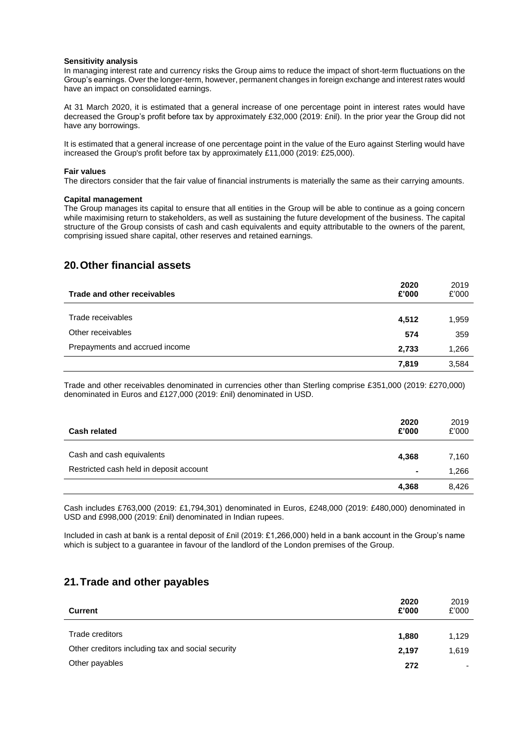### **Sensitivity analysis**

In managing interest rate and currency risks the Group aims to reduce the impact of short-term fluctuations on the Group's earnings. Over the longer-term, however, permanent changes in foreign exchange and interest rates would have an impact on consolidated earnings.

At 31 March 2020, it is estimated that a general increase of one percentage point in interest rates would have decreased the Group's profit before tax by approximately £32,000 (2019: £nil). In the prior year the Group did not have any borrowings.

It is estimated that a general increase of one percentage point in the value of the Euro against Sterling would have increased the Group's profit before tax by approximately £11,000 (2019: £25,000).

#### **Fair values**

The directors consider that the fair value of financial instruments is materially the same as their carrying amounts.

### **Capital management**

The Group manages its capital to ensure that all entities in the Group will be able to continue as a going concern while maximising return to stakeholders, as well as sustaining the future development of the business. The capital structure of the Group consists of cash and cash equivalents and equity attributable to the owners of the parent, comprising issued share capital, other reserves and retained earnings.

## **20.Other financial assets**

| Trade and other receivables    | 2020<br>£'000 | 2019<br>£'000 |
|--------------------------------|---------------|---------------|
|                                |               |               |
| Trade receivables              | 4,512         | 1,959         |
| Other receivables              | 574           | 359           |
| Prepayments and accrued income | 2,733         | 1,266         |
|                                | 7.819         | 3.584         |

Trade and other receivables denominated in currencies other than Sterling comprise £351,000 (2019: £270,000) denominated in Euros and £127,000 (2019: £nil) denominated in USD.

| <b>Cash related</b>                     | 2020<br>£'000  | 2019<br>£'000 |
|-----------------------------------------|----------------|---------------|
| Cash and cash equivalents               | 4,368          | 7,160         |
| Restricted cash held in deposit account | $\blacksquare$ | 1.266         |
|                                         | 4,368          | 8,426         |

Cash includes £763,000 (2019: £1,794,301) denominated in Euros, £248,000 (2019: £480,000) denominated in USD and £998,000 (2019: £nil) denominated in Indian rupees.

Included in cash at bank is a rental deposit of £nil (2019: £1,266,000) held in a bank account in the Group's name which is subject to a guarantee in favour of the landlord of the London premises of the Group.

## **21.Trade and other payables**

| <b>Current</b>                                    | 2020<br>£'000 | 2019<br>£'000 |
|---------------------------------------------------|---------------|---------------|
| Trade creditors                                   | 1,880         | 1.129         |
| Other creditors including tax and social security | 2.197         | 1.619         |
| Other payables                                    | 272           | -             |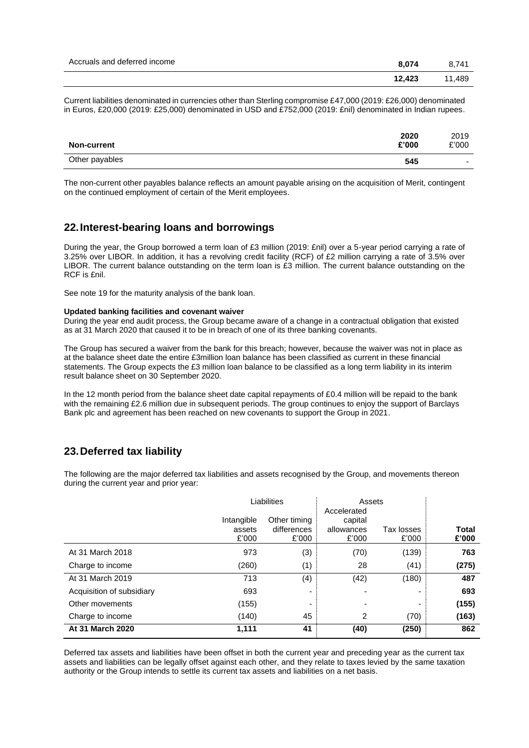| Accruals and deferred income | 8.074  | 8.741  |
|------------------------------|--------|--------|
|                              | 12.423 | 11.489 |

Current liabilities denominated in currencies other than Sterling compromise £47,000 (2019: £26,000) denominated in Euros, £20,000 (2019: £25,000) denominated in USD and £752,000 (2019: £nil) denominated in Indian rupees.

| <b>Non-current</b> | 2020<br>£'000 | 2019<br>£'000            |
|--------------------|---------------|--------------------------|
| Other payables     | 545           | $\overline{\phantom{0}}$ |

The non-current other payables balance reflects an amount payable arising on the acquisition of Merit, contingent on the continued employment of certain of the Merit employees.

## **22.Interest-bearing loans and borrowings**

During the year, the Group borrowed a term loan of £3 million (2019: £nil) over a 5-year period carrying a rate of 3.25% over LIBOR. In addition, it has a revolving credit facility (RCF) of £2 million carrying a rate of 3.5% over LIBOR. The current balance outstanding on the term loan is £3 million. The current balance outstanding on the RCF is £nil.

See note 19 for the maturity analysis of the bank loan.

### **Updated banking facilities and covenant waiver**

During the year end audit process, the Group became aware of a change in a contractual obligation that existed as at 31 March 2020 that caused it to be in breach of one of its three banking covenants.

The Group has secured a waiver from the bank for this breach; however, because the waiver was not in place as at the balance sheet date the entire £3million loan balance has been classified as current in these financial statements. The Group expects the £3 million loan balance to be classified as a long term liability in its interim result balance sheet on 30 September 2020.

In the 12 month period from the balance sheet date capital repayments of £0.4 million will be repaid to the bank with the remaining £2.6 million due in subsequent periods. The group continues to enjoy the support of Barclays Bank plc and agreement has been reached on new covenants to support the Group in 2021.

## **23.Deferred tax liability**

The following are the major deferred tax liabilities and assets recognised by the Group, and movements thereon during the current year and prior year:

|                           | Liabilities                   |                                      | Assets                                        |                     |                       |
|---------------------------|-------------------------------|--------------------------------------|-----------------------------------------------|---------------------|-----------------------|
|                           | Intangible<br>assets<br>£'000 | Other timing<br>differences<br>£'000 | Accelerated<br>capital<br>allowances<br>£'000 | Tax losses<br>£'000 | <b>Total</b><br>£'000 |
| At 31 March 2018          | 973                           | (3)                                  | (70)                                          | (139)               | 763                   |
| Charge to income          | (260)                         | (1)                                  | 28                                            | (41)                | (275)                 |
| At 31 March 2019          | 713                           | (4)                                  | (42)                                          | (180)               | 487                   |
| Acquisition of subsidiary | 693                           | ٠                                    | ۰                                             | -                   | 693                   |
| Other movements           | (155)                         | ٠                                    |                                               | ٠                   | (155)                 |
| Charge to income          | (140)                         | 45                                   | 2                                             | (70)                | (163)                 |
| At 31 March 2020          | 1,111                         | 41                                   | (40)                                          | (250)               | 862                   |

Deferred tax assets and liabilities have been offset in both the current year and preceding year as the current tax assets and liabilities can be legally offset against each other, and they relate to taxes levied by the same taxation authority or the Group intends to settle its current tax assets and liabilities on a net basis.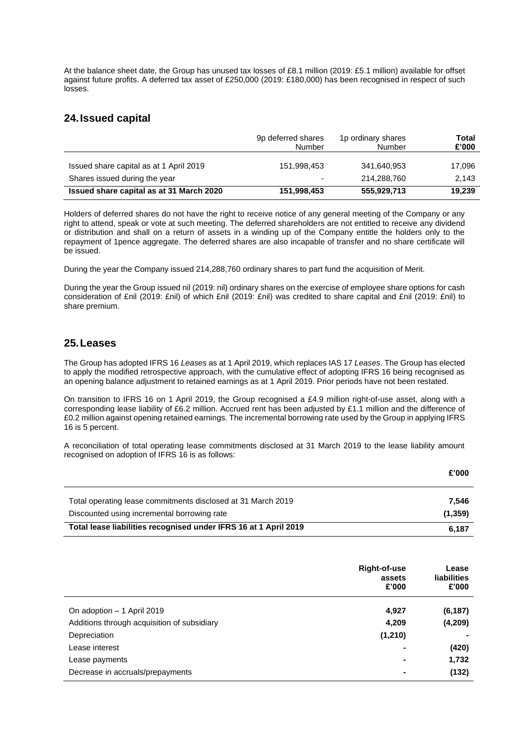At the balance sheet date, the Group has unused tax losses of £8.1 million (2019: £5.1 million) available for offset against future profits. A deferred tax asset of £250,000 (2019: £180,000) has been recognised in respect of such losses.

## **24.Issued capital**

|                                          | 9p deferred shares | 1p ordinary shares | Total  |
|------------------------------------------|--------------------|--------------------|--------|
|                                          | Number             | Number             | £'000  |
| Issued share capital as at 1 April 2019  | 151,998,453        | 341,640,953        | 17,096 |
| Shares issued during the year            | ٠                  | 214.288.760        | 2,143  |
| Issued share capital as at 31 March 2020 | 151,998,453        | 555,929,713        | 19,239 |

Holders of deferred shares do not have the right to receive notice of any general meeting of the Company or any right to attend, speak or vote at such meeting. The deferred shareholders are not entitled to receive any dividend or distribution and shall on a return of assets in a winding up of the Company entitle the holders only to the repayment of 1pence aggregate. The deferred shares are also incapable of transfer and no share certificate will be issued.

During the year the Company issued 214,288,760 ordinary shares to part fund the acquisition of Merit.

During the year the Group issued nil (2019: nil) ordinary shares on the exercise of employee share options for cash consideration of £nil (2019: £nil) of which £nil (2019: £nil) was credited to share capital and £nil (2019: £nil) to share premium.

### **25.Leases**

The Group has adopted IFRS 16 *Leases* as at 1 April 2019, which replaces IAS 17 *Leases*. The Group has elected to apply the modified retrospective approach, with the cumulative effect of adopting IFRS 16 being recognised as an opening balance adjustment to retained earnings as at 1 April 2019. Prior periods have not been restated.

On transition to IFRS 16 on 1 April 2019, the Group recognised a £4.9 million right-of-use asset, along with a corresponding lease liability of £6.2 million. Accrued rent has been adjusted by £1.1 million and the difference of £0.2 million against opening retained earnings. The incremental borrowing rate used by the Group in applying IFRS 16 is 5 percent.

A reconciliation of total operating lease commitments disclosed at 31 March 2019 to the lease liability amount recognised on adoption of IFRS 16 is as follows:

|                                                                  | £'000   |
|------------------------------------------------------------------|---------|
| Total operating lease commitments disclosed at 31 March 2019     | 7.546   |
| Discounted using incremental borrowing rate                      | (1,359) |
| Total lease liabilities recognised under IFRS 16 at 1 April 2019 | 6.187   |

|                                             | <b>Right-of-use</b><br>assets<br>£'000 | Lease<br><b>liabilities</b><br>£'000 |
|---------------------------------------------|----------------------------------------|--------------------------------------|
| On adoption - 1 April 2019                  | 4,927                                  | (6, 187)                             |
| Additions through acquisition of subsidiary | 4,209                                  | (4,209)                              |
| Depreciation                                | (1, 210)                               |                                      |
| Lease interest                              |                                        | (420)                                |
| Lease payments                              | -                                      | 1,732                                |
| Decrease in accruals/prepayments            |                                        | (132)                                |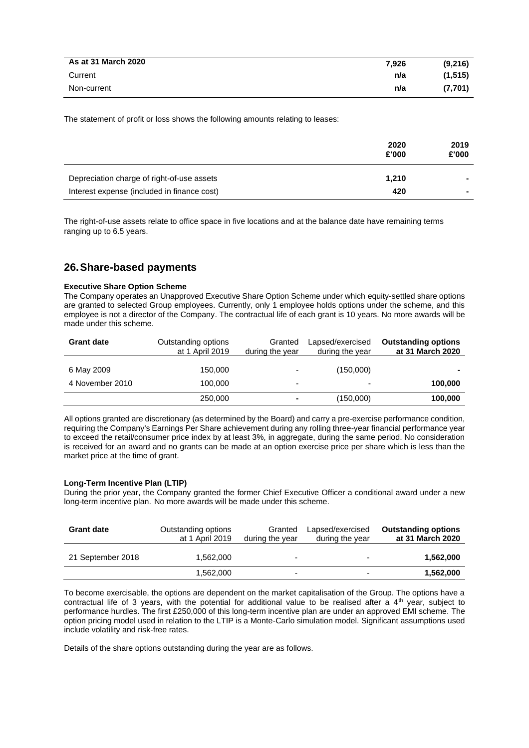| As at 31 March 2020 | 7.926 | (9,216) |
|---------------------|-------|---------|
| Current             | n/a   | (1,515) |
| Non-current         | n/a   | (7,701) |

The statement of profit or loss shows the following amounts relating to leases:

|                                             | 2020<br>£'000 | 2019<br>£'000 |
|---------------------------------------------|---------------|---------------|
| Depreciation charge of right-of-use assets  | 1,210         |               |
| Interest expense (included in finance cost) | 420           |               |

The right-of-use assets relate to office space in five locations and at the balance date have remaining terms ranging up to 6.5 years.

## **26.Share-based payments**

### **Executive Share Option Scheme**

The Company operates an Unapproved Executive Share Option Scheme under which equity-settled share options are granted to selected Group employees. Currently, only 1 employee holds options under the scheme, and this employee is not a director of the Company. The contractual life of each grant is 10 years. No more awards will be made under this scheme.

| <b>Grant date</b> | Outstanding options | Granted                  | Lapsed/exercised         | <b>Outstanding options</b> |
|-------------------|---------------------|--------------------------|--------------------------|----------------------------|
|                   | at 1 April 2019     | during the year          | during the year          | at 31 March 2020           |
| 6 May 2009        | 150,000             | $\overline{\phantom{0}}$ | (150,000)                | 100,000                    |
| 4 November 2010   | 100.000             | $\overline{\phantom{0}}$ | $\overline{\phantom{0}}$ |                            |
|                   | 250,000             |                          | (150,000)                | 100,000                    |

All options granted are discretionary (as determined by the Board) and carry a pre-exercise performance condition, requiring the Company's Earnings Per Share achievement during any rolling three-year financial performance year to exceed the retail/consumer price index by at least 3%, in aggregate, during the same period. No consideration is received for an award and no grants can be made at an option exercise price per share which is less than the market price at the time of grant.

### **Long-Term Incentive Plan (LTIP)**

During the prior year, the Company granted the former Chief Executive Officer a conditional award under a new long-term incentive plan. No more awards will be made under this scheme.

| <b>Grant date</b> | Outstanding options<br>at 1 April 2019 | Granted<br>during the year | Lapsed/exercised<br>during the year | <b>Outstanding options</b><br>at 31 March 2020 |
|-------------------|----------------------------------------|----------------------------|-------------------------------------|------------------------------------------------|
| 21 September 2018 | 1.562.000                              | $\overline{\phantom{0}}$   | $\overline{\phantom{0}}$            | 1,562,000                                      |
|                   | 1.562.000                              | -                          | $\overline{\phantom{0}}$            | 1,562,000                                      |

To become exercisable, the options are dependent on the market capitalisation of the Group. The options have a contractual life of 3 years, with the potential for additional value to be realised after a 4<sup>th</sup> year, subject to performance hurdles. The first £250,000 of this long-term incentive plan are under an approved EMI scheme. The option pricing model used in relation to the LTIP is a Monte-Carlo simulation model. Significant assumptions used include volatility and risk-free rates.

Details of the share options outstanding during the year are as follows.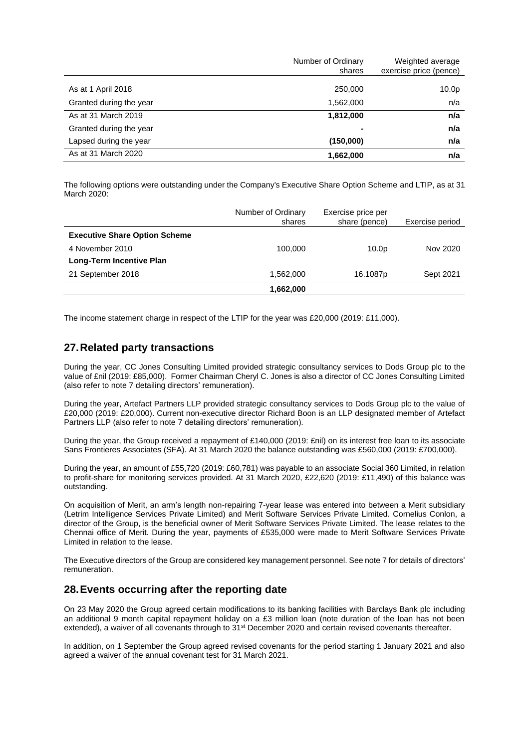|                         | Number of Ordinary<br>shares | Weighted average<br>exercise price (pence) |
|-------------------------|------------------------------|--------------------------------------------|
|                         |                              |                                            |
| As at 1 April 2018      | 250,000                      | 10.0 <sub>p</sub>                          |
| Granted during the year | 1,562,000                    | n/a                                        |
| As at 31 March 2019     | 1,812,000                    | n/a                                        |
| Granted during the year | $\blacksquare$               | n/a                                        |
| Lapsed during the year  | (150,000)                    | n/a                                        |
| As at 31 March 2020     | 1,662,000                    | n/a                                        |

The following options were outstanding under the Company's Executive Share Option Scheme and LTIP, as at 31 March 2020:

|                                      | Number of Ordinary<br>shares | Exercise price per<br>share (pence) | Exercise period |
|--------------------------------------|------------------------------|-------------------------------------|-----------------|
| <b>Executive Share Option Scheme</b> |                              |                                     |                 |
| 4 November 2010                      | 100.000                      | 10.0 <sub>D</sub>                   | Nov 2020        |
| <b>Long-Term Incentive Plan</b>      |                              |                                     |                 |
| 21 September 2018                    | 1,562,000                    | 16.1087p                            | Sept 2021       |
|                                      | 1,662,000                    |                                     |                 |

The income statement charge in respect of the LTIP for the year was £20,000 (2019: £11,000).

## **27.Related party transactions**

During the year, CC Jones Consulting Limited provided strategic consultancy services to Dods Group plc to the value of £nil (2019: £85,000). Former Chairman Cheryl C. Jones is also a director of CC Jones Consulting Limited (also refer to note 7 detailing directors' remuneration).

During the year, Artefact Partners LLP provided strategic consultancy services to Dods Group plc to the value of £20,000 (2019: £20,000). Current non-executive director Richard Boon is an LLP designated member of Artefact Partners LLP (also refer to note 7 detailing directors' remuneration).

During the year, the Group received a repayment of £140,000 (2019: £nil) on its interest free loan to its associate Sans Frontieres Associates (SFA). At 31 March 2020 the balance outstanding was £560,000 (2019: £700,000).

During the year, an amount of £55,720 (2019: £60,781) was payable to an associate Social 360 Limited, in relation to profit-share for monitoring services provided. At 31 March 2020, £22,620 (2019: £11,490) of this balance was outstanding.

On acquisition of Merit, an arm's length non-repairing 7-year lease was entered into between a Merit subsidiary (Letrim Intelligence Services Private Limited) and Merit Software Services Private Limited. Cornelius Conlon, a director of the Group, is the beneficial owner of Merit Software Services Private Limited. The lease relates to the Chennai office of Merit. During the year, payments of £535,000 were made to Merit Software Services Private Limited in relation to the lease.

The Executive directors of the Group are considered key management personnel. See note 7 for details of directors' remuneration.

### **28.Events occurring after the reporting date**

On 23 May 2020 the Group agreed certain modifications to its banking facilities with Barclays Bank plc including an additional 9 month capital repayment holiday on a £3 million loan (note duration of the loan has not been extended), a waiver of all covenants through to 31<sup>st</sup> December 2020 and certain revised covenants thereafter.

In addition, on 1 September the Group agreed revised covenants for the period starting 1 January 2021 and also agreed a waiver of the annual covenant test for 31 March 2021.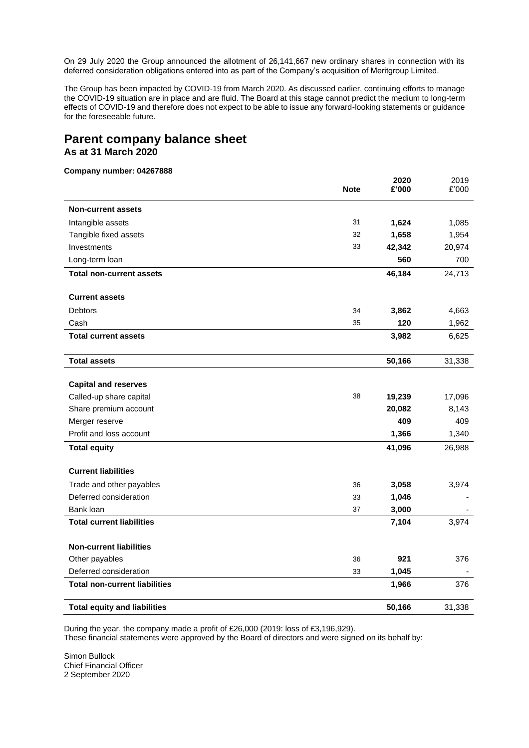On 29 July 2020 the Group announced the allotment of 26,141,667 new ordinary shares in connection with its deferred consideration obligations entered into as part of the Company's acquisition of Meritgroup Limited.

The Group has been impacted by COVID-19 from March 2020. As discussed earlier, continuing efforts to manage the COVID-19 situation are in place and are fluid. The Board at this stage cannot predict the medium to long-term effects of COVID-19 and therefore does not expect to be able to issue any forward-looking statements or guidance for the foreseeable future.

**2020**

2010

## **Parent company balance sheet As at 31 March 2020**

**Company number: 04267888**

|                                      | <b>Note</b> | ZUZU<br>£'000 | ∠ບ⊥ອ<br>£'000 |
|--------------------------------------|-------------|---------------|---------------|
| <b>Non-current assets</b>            |             |               |               |
| Intangible assets                    | 31          | 1,624         | 1,085         |
| Tangible fixed assets                | 32          | 1,658         | 1,954         |
| Investments                          | 33          | 42,342        | 20,974        |
| Long-term loan                       |             | 560           | 700           |
| <b>Total non-current assets</b>      |             | 46,184        | 24,713        |
| <b>Current assets</b>                |             |               |               |
| <b>Debtors</b>                       | 34          | 3,862         | 4,663         |
| Cash                                 | 35          | 120           | 1,962         |
| <b>Total current assets</b>          |             | 3,982         | 6,625         |
| <b>Total assets</b>                  |             | 50,166        | 31,338        |
|                                      |             |               |               |
| <b>Capital and reserves</b>          |             |               |               |
| Called-up share capital              | 38          | 19,239        | 17,096        |
| Share premium account                |             | 20,082        | 8,143         |
| Merger reserve                       |             | 409           | 409           |
| Profit and loss account              |             | 1,366         | 1,340         |
| <b>Total equity</b>                  |             | 41,096        | 26,988        |
| <b>Current liabilities</b>           |             |               |               |
| Trade and other payables             | 36          | 3,058         | 3,974         |
| Deferred consideration               | 33          | 1,046         |               |
| Bank loan                            | 37          | 3,000         |               |
| <b>Total current liabilities</b>     |             | 7,104         | 3,974         |
| <b>Non-current liabilities</b>       |             |               |               |
| Other payables                       | 36          | 921           | 376           |
| Deferred consideration               | 33          | 1,045         |               |
| <b>Total non-current liabilities</b> |             | 1,966         | 376           |
| <b>Total equity and liabilities</b>  |             | 50,166        | 31,338        |

During the year, the company made a profit of £26,000 (2019: loss of £3,196,929). These financial statements were approved by the Board of directors and were signed on its behalf by:

Simon Bullock Chief Financial Officer 2 September 2020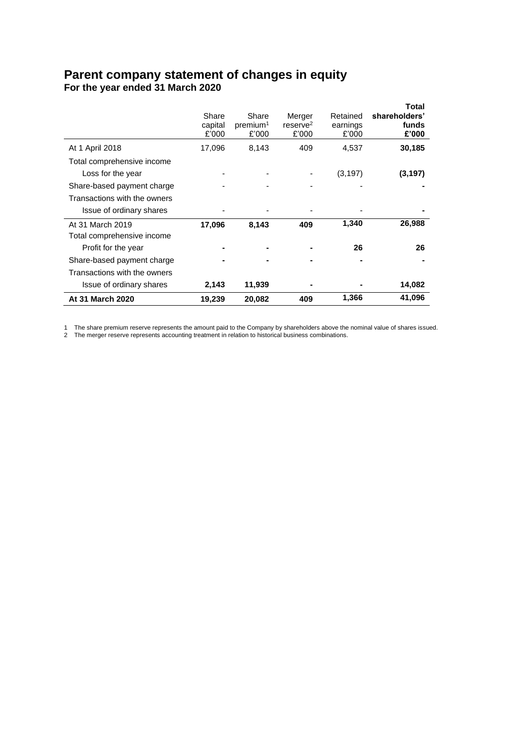## **Parent company statement of changes in equity For the year ended 31 March 2020**

|                              |                  |                               |                         |                   | <b>Total</b>   |
|------------------------------|------------------|-------------------------------|-------------------------|-------------------|----------------|
|                              | Share            | Share                         | Merger                  | Retained          | shareholders'  |
|                              | capital<br>£'000 | premium <sup>1</sup><br>£'000 | $r$ eserve $2$<br>£'000 | earnings<br>£'000 | funds<br>£'000 |
| At 1 April 2018              | 17,096           | 8,143                         | 409                     | 4,537             | 30,185         |
|                              |                  |                               |                         |                   |                |
| Total comprehensive income   |                  |                               |                         |                   |                |
| Loss for the year            |                  |                               |                         | (3, 197)          | (3, 197)       |
| Share-based payment charge   |                  |                               |                         |                   |                |
| Transactions with the owners |                  |                               |                         |                   |                |
| Issue of ordinary shares     |                  |                               |                         |                   |                |
| At 31 March 2019             | 17,096           | 8,143                         | 409                     | 1,340             | 26,988         |
| Total comprehensive income   |                  |                               |                         |                   |                |
| Profit for the year          |                  |                               |                         | 26                | 26             |
| Share-based payment charge   |                  |                               |                         |                   |                |
| Transactions with the owners |                  |                               |                         |                   |                |
| Issue of ordinary shares     | 2,143            | 11,939                        |                         |                   | 14,082         |
| At 31 March 2020             | 19,239           | 20,082                        | 409                     | 1,366             | 41,096         |

1 The share premium reserve represents the amount paid to the Company by shareholders above the nominal value of shares issued.

2 The merger reserve represents accounting treatment in relation to historical business combinations.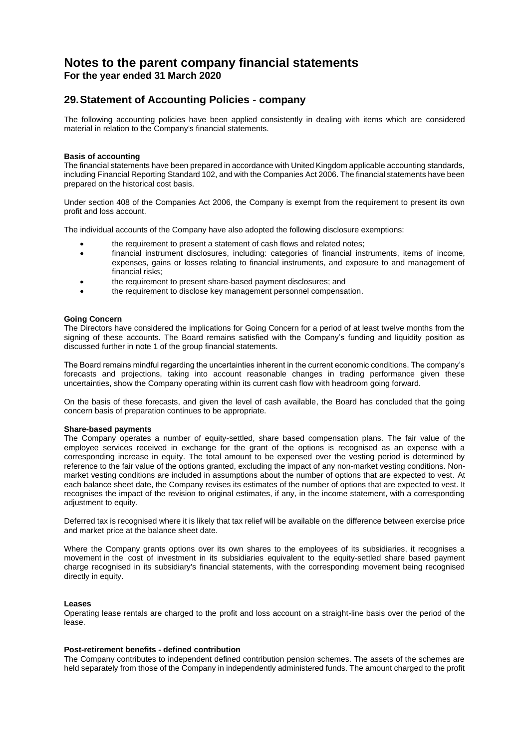## **Notes to the parent company financial statements For the year ended 31 March 2020**

## **29.Statement of Accounting Policies - company**

The following accounting policies have been applied consistently in dealing with items which are considered material in relation to the Company's financial statements.

### **Basis of accounting**

The financial statements have been prepared in accordance with United Kingdom applicable accounting standards, including Financial Reporting Standard 102, and with the Companies Act 2006. The financial statements have been prepared on the historical cost basis.

Under section 408 of the Companies Act 2006, the Company is exempt from the requirement to present its own profit and loss account.

The individual accounts of the Company have also adopted the following disclosure exemptions:

- the requirement to present a statement of cash flows and related notes;
- financial instrument disclosures, including: categories of financial instruments, items of income, expenses, gains or losses relating to financial instruments, and exposure to and management of financial risks;
- the requirement to present share-based payment disclosures; and
- the requirement to disclose key management personnel compensation.

### **Going Concern**

The Directors have considered the implications for Going Concern for a period of at least twelve months from the signing of these accounts. The Board remains satisfied with the Company's funding and liquidity position as discussed further in note 1 of the group financial statements.

The Board remains mindful regarding the uncertainties inherent in the current economic conditions. The company's forecasts and projections, taking into account reasonable changes in trading performance given these uncertainties, show the Company operating within its current cash flow with headroom going forward.

On the basis of these forecasts, and given the level of cash available, the Board has concluded that the going concern basis of preparation continues to be appropriate.

### **Share-based payments**

The Company operates a number of equity-settled, share based compensation plans. The fair value of the employee services received in exchange for the grant of the options is recognised as an expense with a corresponding increase in equity. The total amount to be expensed over the vesting period is determined by reference to the fair value of the options granted, excluding the impact of any non-market vesting conditions. Nonmarket vesting conditions are included in assumptions about the number of options that are expected to vest. At each balance sheet date, the Company revises its estimates of the number of options that are expected to vest. It recognises the impact of the revision to original estimates, if any, in the income statement, with a corresponding adjustment to equity.

Deferred tax is recognised where it is likely that tax relief will be available on the difference between exercise price and market price at the balance sheet date.

Where the Company grants options over its own shares to the employees of its subsidiaries, it recognises a movement in the cost of investment in its subsidiaries equivalent to the equity-settled share based payment charge recognised in its subsidiary's financial statements, with the corresponding movement being recognised directly in equity.

#### **Leases**

Operating lease rentals are charged to the profit and loss account on a straight-line basis over the period of the lease.

#### **Post-retirement benefits - defined contribution**

The Company contributes to independent defined contribution pension schemes. The assets of the schemes are held separately from those of the Company in independently administered funds. The amount charged to the profit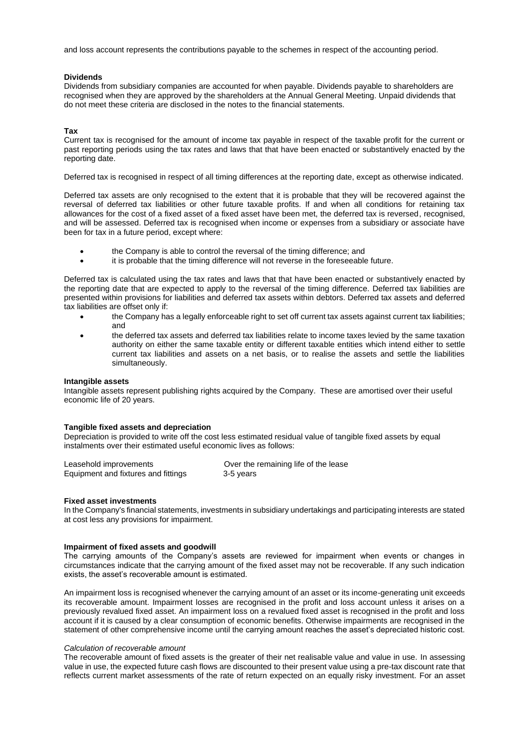and loss account represents the contributions payable to the schemes in respect of the accounting period.

### **Dividends**

Dividends from subsidiary companies are accounted for when payable. Dividends payable to shareholders are recognised when they are approved by the shareholders at the Annual General Meeting. Unpaid dividends that do not meet these criteria are disclosed in the notes to the financial statements.

### **Tax**

Current tax is recognised for the amount of income tax payable in respect of the taxable profit for the current or past reporting periods using the tax rates and laws that that have been enacted or substantively enacted by the reporting date.

Deferred tax is recognised in respect of all timing differences at the reporting date, except as otherwise indicated.

Deferred tax assets are only recognised to the extent that it is probable that they will be recovered against the reversal of deferred tax liabilities or other future taxable profits. If and when all conditions for retaining tax allowances for the cost of a fixed asset of a fixed asset have been met, the deferred tax is reversed, recognised, and will be assessed. Deferred tax is recognised when income or expenses from a subsidiary or associate have been for tax in a future period, except where:

- the Company is able to control the reversal of the timing difference; and
- it is probable that the timing difference will not reverse in the foreseeable future.

Deferred tax is calculated using the tax rates and laws that that have been enacted or substantively enacted by the reporting date that are expected to apply to the reversal of the timing difference. Deferred tax liabilities are presented within provisions for liabilities and deferred tax assets within debtors. Deferred tax assets and deferred tax liabilities are offset only if:

- the Company has a legally enforceable right to set off current tax assets against current tax liabilities; and
- the deferred tax assets and deferred tax liabilities relate to income taxes levied by the same taxation authority on either the same taxable entity or different taxable entities which intend either to settle current tax liabilities and assets on a net basis, or to realise the assets and settle the liabilities simultaneously.

#### **Intangible assets**

Intangible assets represent publishing rights acquired by the Company. These are amortised over their useful economic life of 20 years.

#### **Tangible fixed assets and depreciation**

Depreciation is provided to write off the cost less estimated residual value of tangible fixed assets by equal instalments over their estimated useful economic lives as follows:

| Leasehold improvements              | Over the remaining life of the lease |
|-------------------------------------|--------------------------------------|
| Equipment and fixtures and fittings | 3-5 years                            |

#### **Fixed asset investments**

In the Company's financial statements, investments in subsidiary undertakings and participating interests are stated at cost less any provisions for impairment.

#### **Impairment of fixed assets and goodwill**

The carrying amounts of the Company's assets are reviewed for impairment when events or changes in circumstances indicate that the carrying amount of the fixed asset may not be recoverable. If any such indication exists, the asset's recoverable amount is estimated.

An impairment loss is recognised whenever the carrying amount of an asset or its income-generating unit exceeds its recoverable amount. Impairment losses are recognised in the profit and loss account unless it arises on a previously revalued fixed asset. An impairment loss on a revalued fixed asset is recognised in the profit and loss account if it is caused by a clear consumption of economic benefits. Otherwise impairments are recognised in the statement of other comprehensive income until the carrying amount reaches the asset's depreciated historic cost.

#### *Calculation of recoverable amount*

The recoverable amount of fixed assets is the greater of their net realisable value and value in use. In assessing value in use, the expected future cash flows are discounted to their present value using a pre-tax discount rate that reflects current market assessments of the rate of return expected on an equally risky investment. For an asset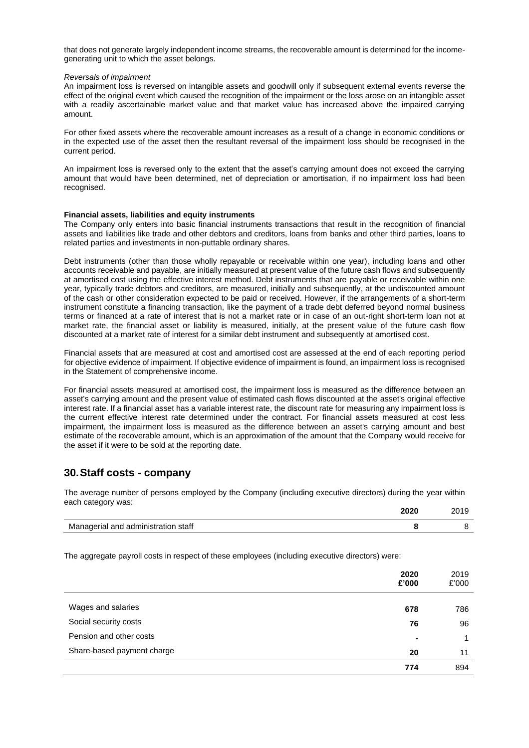that does not generate largely independent income streams, the recoverable amount is determined for the incomegenerating unit to which the asset belongs.

#### *Reversals of impairment*

An impairment loss is reversed on intangible assets and goodwill only if subsequent external events reverse the effect of the original event which caused the recognition of the impairment or the loss arose on an intangible asset with a readily ascertainable market value and that market value has increased above the impaired carrying amount.

For other fixed assets where the recoverable amount increases as a result of a change in economic conditions or in the expected use of the asset then the resultant reversal of the impairment loss should be recognised in the current period.

An impairment loss is reversed only to the extent that the asset's carrying amount does not exceed the carrying amount that would have been determined, net of depreciation or amortisation, if no impairment loss had been recognised.

### **Financial assets, liabilities and equity instruments**

The Company only enters into basic financial instruments transactions that result in the recognition of financial assets and liabilities like trade and other debtors and creditors, loans from banks and other third parties, loans to related parties and investments in non-puttable ordinary shares.

Debt instruments (other than those wholly repayable or receivable within one year), including loans and other accounts receivable and payable, are initially measured at present value of the future cash flows and subsequently at amortised cost using the effective interest method. Debt instruments that are payable or receivable within one year, typically trade debtors and creditors, are measured, initially and subsequently, at the undiscounted amount of the cash or other consideration expected to be paid or received. However, if the arrangements of a short-term instrument constitute a financing transaction, like the payment of a trade debt deferred beyond normal business terms or financed at a rate of interest that is not a market rate or in case of an out-right short-term loan not at market rate, the financial asset or liability is measured, initially, at the present value of the future cash flow discounted at a market rate of interest for a similar debt instrument and subsequently at amortised cost.

Financial assets that are measured at cost and amortised cost are assessed at the end of each reporting period for objective evidence of impairment. If objective evidence of impairment is found, an impairment loss is recognised in the Statement of comprehensive income.

For financial assets measured at amortised cost, the impairment loss is measured as the difference between an asset's carrying amount and the present value of estimated cash flows discounted at the asset's original effective interest rate. If a financial asset has a variable interest rate, the discount rate for measuring any impairment loss is the current effective interest rate determined under the contract. For financial assets measured at cost less impairment, the impairment loss is measured as the difference between an asset's carrying amount and best estimate of the recoverable amount, which is an approximation of the amount that the Company would receive for the asset if it were to be sold at the reporting date.

### **30.Staff costs - company**

The average number of persons employed by the Company (including executive directors) during the year within each category was:

|                                     | טו ט |
|-------------------------------------|------|
| Managerial and administration staff |      |

The aggregate payroll costs in respect of these employees (including executive directors) were:

|                            | 2020<br>£'000  | 2019<br>£'000 |
|----------------------------|----------------|---------------|
| Wages and salaries         | 678            | 786           |
| Social security costs      | 76             | 96            |
| Pension and other costs    | $\blacksquare$ | 1             |
| Share-based payment charge | 20             | 11            |
|                            | 774            | 894           |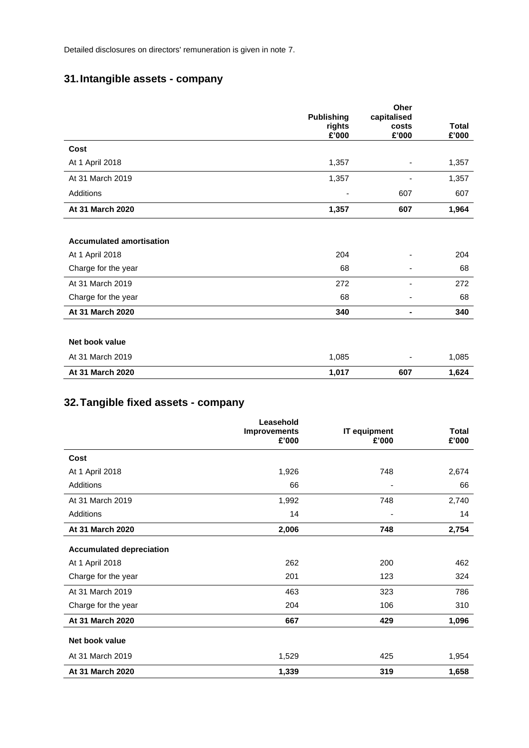Detailed disclosures on directors' remuneration is given in note 7.

# **31.Intangible assets - company**

|                                 | Oher<br><b>Publishing</b><br>capitalised<br>costs |                | <b>Total</b> |
|---------------------------------|---------------------------------------------------|----------------|--------------|
|                                 | rights<br>£'000                                   | £'000          | £'000        |
| Cost                            |                                                   |                |              |
| At 1 April 2018                 | 1,357                                             |                | 1,357        |
| At 31 March 2019                | 1,357                                             | ٠              | 1,357        |
| Additions                       | ٠                                                 | 607            | 607          |
| At 31 March 2020                | 1,357                                             | 607            | 1,964        |
|                                 |                                                   |                |              |
| <b>Accumulated amortisation</b> |                                                   |                |              |
| At 1 April 2018                 | 204                                               |                | 204          |
| Charge for the year             | 68                                                |                | 68           |
| At 31 March 2019                | 272                                               |                | 272          |
| Charge for the year             | 68                                                |                | 68           |
| At 31 March 2020                | 340                                               | $\blacksquare$ | 340          |
|                                 |                                                   |                |              |
| Net book value                  |                                                   |                |              |
| At 31 March 2019                | 1,085                                             |                | 1,085        |
| At 31 March 2020                | 1,017                                             | 607            | 1,624        |

# **32.Tangible fixed assets - company**

|                                 | Leasehold<br><b>Improvements</b><br>£'000 | IT equipment<br>£'000 | <b>Total</b><br>£'000 |
|---------------------------------|-------------------------------------------|-----------------------|-----------------------|
| Cost                            |                                           |                       |                       |
| At 1 April 2018                 | 1,926                                     | 748                   | 2,674                 |
| Additions                       | 66                                        |                       | 66                    |
| At 31 March 2019                | 1,992                                     | 748                   | 2,740                 |
| Additions                       | 14                                        |                       | 14                    |
| At 31 March 2020                | 2,006                                     | 748                   | 2,754                 |
| <b>Accumulated depreciation</b> |                                           |                       |                       |
| At 1 April 2018                 | 262                                       | 200                   | 462                   |
| Charge for the year             | 201                                       | 123                   | 324                   |
| At 31 March 2019                | 463                                       | 323                   | 786                   |
| Charge for the year             | 204                                       | 106                   | 310                   |
| At 31 March 2020                | 667                                       | 429                   | 1,096                 |
| Net book value                  |                                           |                       |                       |
| At 31 March 2019                | 1,529                                     | 425                   | 1,954                 |
| At 31 March 2020                | 1,339                                     | 319                   | 1,658                 |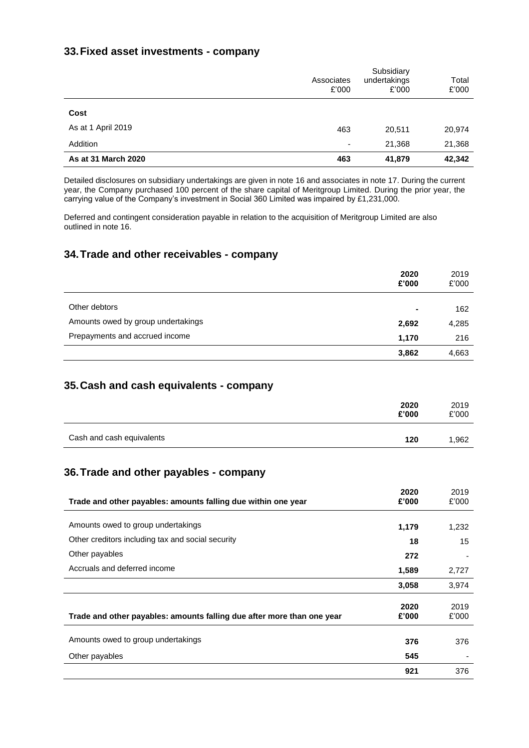## **33.Fixed asset investments - company**

|                     | Associates<br>£'000 | Subsidiary<br>undertakings<br>£'000 | Total<br>£'000 |
|---------------------|---------------------|-------------------------------------|----------------|
| Cost                |                     |                                     |                |
| As at 1 April 2019  | 463                 | 20,511                              | 20,974         |
| Addition            | ۰                   | 21,368                              | 21,368         |
| As at 31 March 2020 | 463                 | 41,879                              | 42,342         |

Detailed disclosures on subsidiary undertakings are given in note 16 and associates in note 17. During the current year, the Company purchased 100 percent of the share capital of Meritgroup Limited. During the prior year, the carrying value of the Company's investment in Social 360 Limited was impaired by £1,231,000.

Deferred and contingent consideration payable in relation to the acquisition of Meritgroup Limited are also outlined in note 16.

## **34.Trade and other receivables - company**

|                                    | 2020<br>£'000 | 2019<br>£'000 |
|------------------------------------|---------------|---------------|
| Other debtors                      | ۰             | 162           |
| Amounts owed by group undertakings | 2,692         | 4,285         |
| Prepayments and accrued income     | 1,170         | 216           |
|                                    | 3,862         | 4,663         |

## **35.Cash and cash equivalents - company**

|                           | 2020<br>£'000 | 2019<br>£'000 |
|---------------------------|---------------|---------------|
| Cash and cash equivalents | 120           | 1,962         |

## **36.Trade and other payables - company**

| Trade and other payables: amounts falling due within one year          | 2020<br>£'000 | 2019<br>£'000 |
|------------------------------------------------------------------------|---------------|---------------|
| Amounts owed to group undertakings                                     |               |               |
|                                                                        | 1,179         | 1,232         |
| Other creditors including tax and social security                      | 18            | 15            |
| Other payables                                                         | 272           |               |
| Accruals and deferred income                                           | 1,589         | 2,727         |
|                                                                        | 3,058         | 3,974         |
| Trade and other payables: amounts falling due after more than one year | 2020<br>£'000 | 2019<br>£'000 |
| Amounts owed to group undertakings                                     | 376           | 376           |
| Other payables                                                         | 545           |               |
|                                                                        | 921           | 376           |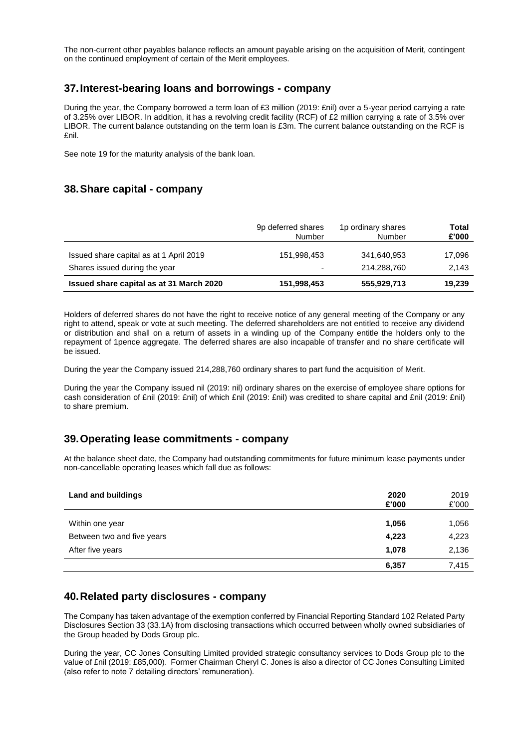The non-current other payables balance reflects an amount payable arising on the acquisition of Merit, contingent on the continued employment of certain of the Merit employees.

### **37.Interest-bearing loans and borrowings - company**

During the year, the Company borrowed a term loan of £3 million (2019: £nil) over a 5-year period carrying a rate of 3.25% over LIBOR. In addition, it has a revolving credit facility (RCF) of £2 million carrying a rate of 3.5% over LIBOR. The current balance outstanding on the term loan is £3m. The current balance outstanding on the RCF is £nil.

See note 19 for the maturity analysis of the bank loan.

## **38.Share capital - company**

|                                          | 9p deferred shares | 1p ordinary shares | Total  |
|------------------------------------------|--------------------|--------------------|--------|
|                                          | <b>Number</b>      | Number             | £'000  |
| Issued share capital as at 1 April 2019  | 151,998,453        | 341,640,953        | 17,096 |
| Shares issued during the year            |                    | 214,288,760        | 2,143  |
| Issued share capital as at 31 March 2020 | 151,998,453        | 555,929,713        | 19,239 |

Holders of deferred shares do not have the right to receive notice of any general meeting of the Company or any right to attend, speak or vote at such meeting. The deferred shareholders are not entitled to receive any dividend or distribution and shall on a return of assets in a winding up of the Company entitle the holders only to the repayment of 1pence aggregate. The deferred shares are also incapable of transfer and no share certificate will be issued.

During the year the Company issued 214,288,760 ordinary shares to part fund the acquisition of Merit.

During the year the Company issued nil (2019: nil) ordinary shares on the exercise of employee share options for cash consideration of £nil (2019: £nil) of which £nil (2019: £nil) was credited to share capital and £nil (2019: £nil) to share premium.

### **39.Operating lease commitments - company**

At the balance sheet date, the Company had outstanding commitments for future minimum lease payments under non-cancellable operating leases which fall due as follows:

| <b>Land and buildings</b>  | 2020<br>£'000 | 2019<br>£'000 |
|----------------------------|---------------|---------------|
| Within one year            | 1,056         | 1,056         |
| Between two and five years | 4,223         | 4,223         |
| After five years           | 1,078         | 2,136         |
|                            | 6,357         | 7,415         |

### **40.Related party disclosures - company**

The Company has taken advantage of the exemption conferred by Financial Reporting Standard 102 Related Party Disclosures Section 33 (33.1A) from disclosing transactions which occurred between wholly owned subsidiaries of the Group headed by Dods Group plc.

During the year, CC Jones Consulting Limited provided strategic consultancy services to Dods Group plc to the value of £nil (2019: £85,000). Former Chairman Cheryl C. Jones is also a director of CC Jones Consulting Limited (also refer to note 7 detailing directors' remuneration).